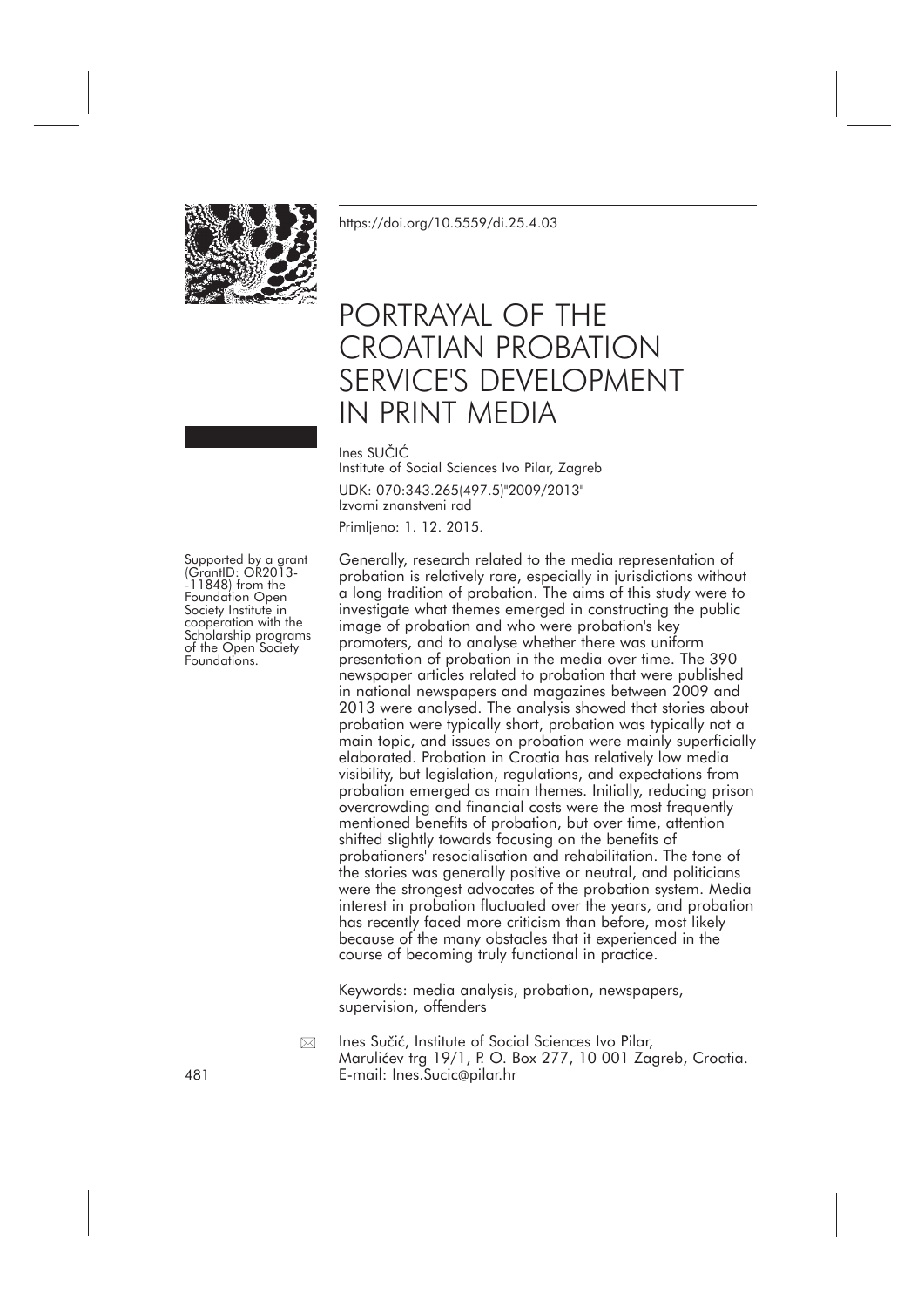

<https://doi.org/10.5559/di.25.4.03>

# PORTRAYAL OF THE CROATIAN PROBATION SERVICE'S DEVELOPMENT IN PRINT MEDIA

Ines SUČIĆ

Institute of Social Sciences Ivo Pilar, Zagreb UDK: 070:343.265(497.5)"2009/2013" Izvorni znanstveni rad Primljeno: 1. 12. 2015.

Supported by a grant (GrantID: OR2013-<br>-11848) from the<br>Foundation Open<br>Society Institute in<br>cooperation with the<br>Scholarship programs<br>of the Open Society of the Open Society<br>Foundations.

Generally, research related to the media representation of probation is relatively rare, especially in jurisdictions without a long tradition of probation. The aims of this study were to investigate what themes emerged in constructing the public image of probation and who were probation's key promoters, and to analyse whether there was uniform presentation of probation in the media over time. The 390 newspaper articles related to probation that were published in national newspapers and magazines between 2009 and 2013 were analysed. The analysis showed that stories about probation were typically short, probation was typically not a main topic, and issues on probation were mainly superficially elaborated. Probation in Croatia has relatively low media visibility, but legislation, regulations, and expectations from probation emerged as main themes. Initially, reducing prison overcrowding and financial costs were the most frequently mentioned benefits of probation, but over time, attention shifted slightly towards focusing on the benefits of probationers' resocialisation and rehabilitation. The tone of the stories was generally positive or neutral, and politicians were the strongest advocates of the probation system. Media interest in probation fluctuated over the years, and probation has recently faced more criticism than before, most likely because of the many obstacles that it experienced in the course of becoming truly functional in practice.

Keywords: media analysis, probation, newspapers, supervision, offenders

Ines Sučić, Institute of Social Sciences Ivo Pilar, Marulićev trg 19/1, P. O. Box 277, 10 001 Zagreb, Croatia. 481 E-mail: Ines.Sucic@pilar.hr  $\boxtimes$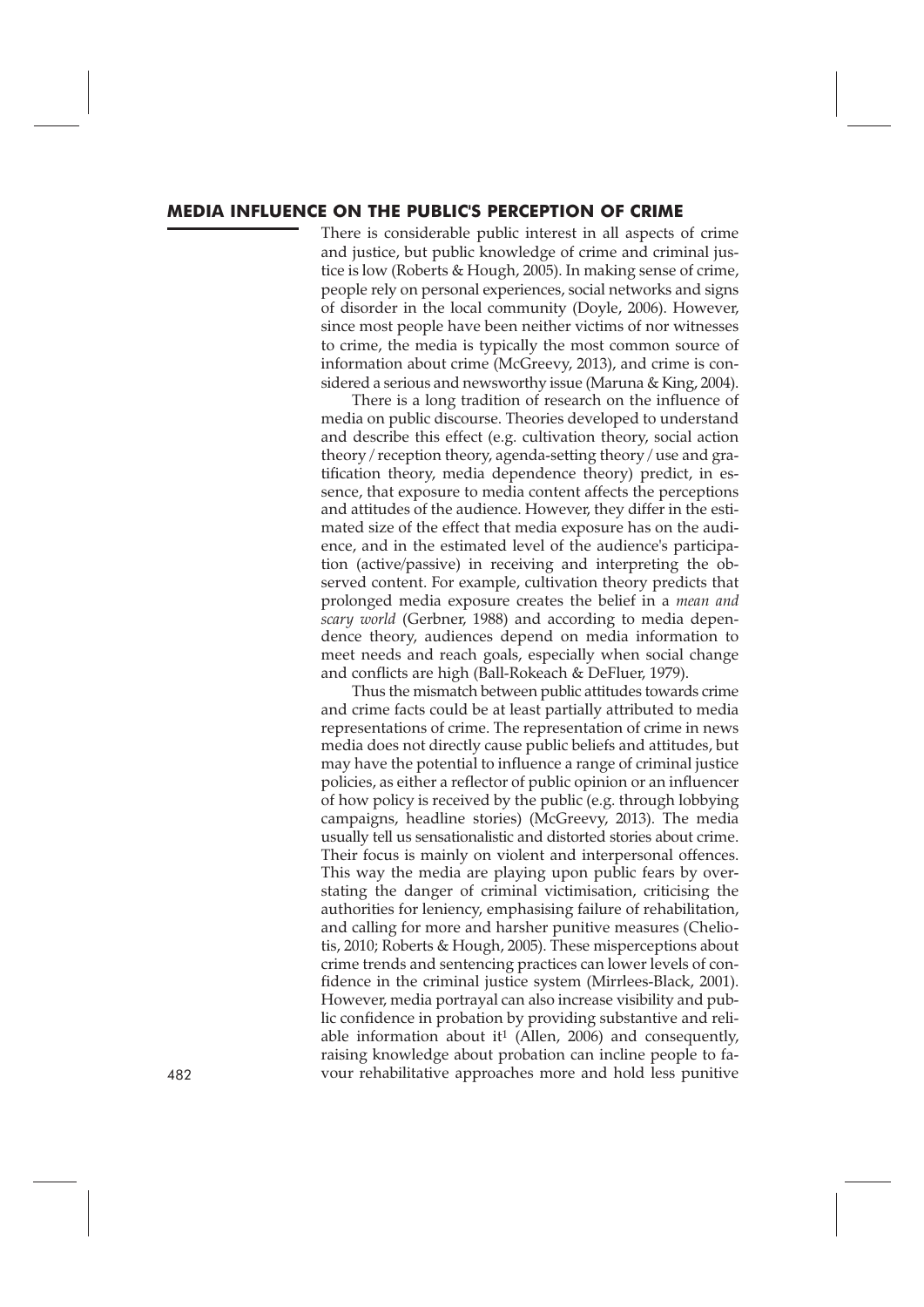## **MEDIA INFLUENCE ON THE PUBLIC'S PERCEPTION OF CRIME**

There is considerable public interest in all aspects of crime and justice, but public knowledge of crime and criminal justice is low (Roberts & Hough, 2005). In making sense of crime, people rely on personal experiences, social networks and signs of disorder in the local community (Doyle, 2006). However, since most people have been neither victims of nor witnesses to crime, the media is typically the most common source of information about crime (McGreevy, 2013), and crime is considered a serious and newsworthy issue (Maruna & King, 2004).

There is a long tradition of research on the influence of media on public discourse. Theories developed to understand and describe this effect (e.g. cultivation theory, social action theory / reception theory, agenda-setting theory / use and gratification theory, media dependence theory) predict, in essence, that exposure to media content affects the perceptions and attitudes of the audience. However, they differ in the estimated size of the effect that media exposure has on the audience, and in the estimated level of the audience's participation (active/passive) in receiving and interpreting the observed content. For example, cultivation theory predicts that prolonged media exposure creates the belief in a *mean and scary world* (Gerbner, 1988) and according to media dependence theory, audiences depend on media information to meet needs and reach goals, especially when social change and conflicts are high (Ball-Rokeach & DeFluer, 1979).

Thus the mismatch between public attitudes towards crime and crime facts could be at least partially attributed to media representations of crime. The representation of crime in news media does not directly cause public beliefs and attitudes, but may have the potential to influence a range of criminal justice policies, as either a reflector of public opinion or an influencer of how policy is received by the public (e.g. through lobbying campaigns, headline stories) (McGreevy, 2013). The media usually tell us sensationalistic and distorted stories about crime. Their focus is mainly on violent and interpersonal offences. This way the media are playing upon public fears by overstating the danger of criminal victimisation, criticising the authorities for leniency, emphasising failure of rehabilitation, and calling for more and harsher punitive measures (Cheliotis, 2010; Roberts & Hough, 2005). These misperceptions about crime trends and sentencing practices can lower levels of confidence in the criminal justice system (Mirrlees-Black, 2001). However, media portrayal can also increase visibility and public confidence in probation by providing substantive and reliable information about it<sup>1</sup> (Allen, 2006) and consequently, raising knowledge about probation can incline people to fa-482 vour rehabilitative approaches more and hold less punitive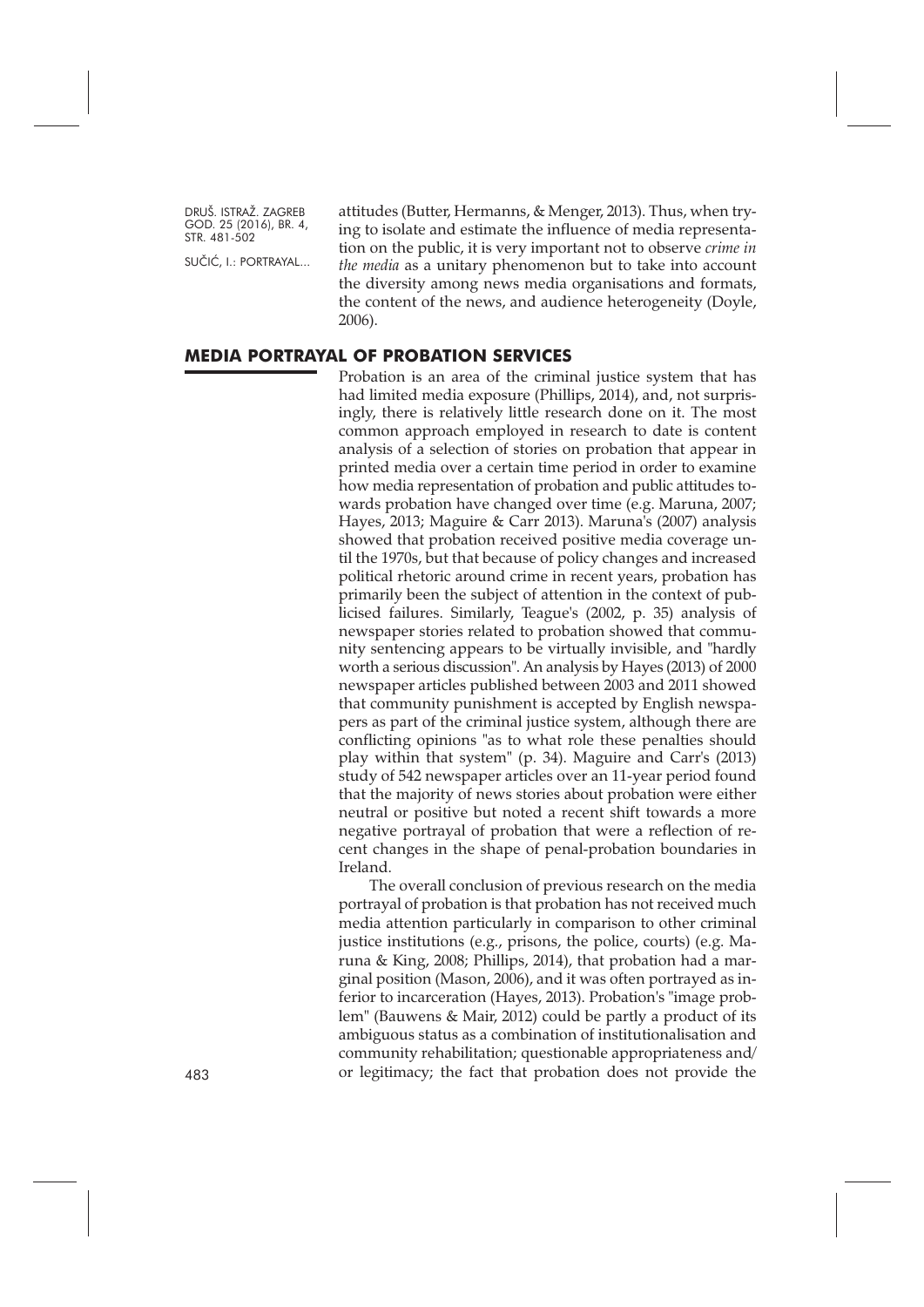SUČIĆ, I.: PORTRAYAL...

attitudes (Butter, Hermanns, & Menger, 2013). Thus, when trying to isolate and estimate the influence of media representation on the public, it is very important not to observe *crime in the media* as a unitary phenomenon but to take into account the diversity among news media organisations and formats, the content of the news, and audience heterogeneity (Doyle, 2006).

## **MEDIA PORTRAYAL OF PROBATION SERVICES**

Probation is an area of the criminal justice system that has had limited media exposure (Phillips, 2014), and, not surprisingly, there is relatively little research done on it. The most common approach employed in research to date is content analysis of a selection of stories on probation that appear in printed media over a certain time period in order to examine how media representation of probation and public attitudes towards probation have changed over time (e.g. Maruna, 2007; Hayes, 2013; Maguire & Carr 2013). Maruna's (2007) analysis showed that probation received positive media coverage until the 1970s, but that because of policy changes and increased political rhetoric around crime in recent years, probation has primarily been the subject of attention in the context of publicised failures. Similarly, Teague's (2002, p. 35) analysis of newspaper stories related to probation showed that community sentencing appears to be virtually invisible, and "hardly worth a serious discussion". An analysis by Hayes (2013) of 2000 newspaper articles published between 2003 and 2011 showed that community punishment is accepted by English newspapers as part of the criminal justice system, although there are conflicting opinions "as to what role these penalties should play within that system" (p. 34). Maguire and Carr's (2013) study of 542 newspaper articles over an 11-year period found that the majority of news stories about probation were either neutral or positive but noted a recent shift towards a more negative portrayal of probation that were a reflection of recent changes in the shape of penal-probation boundaries in Ireland.

The overall conclusion of previous research on the media portrayal of probation is that probation has not received much media attention particularly in comparison to other criminal justice institutions (e.g., prisons, the police, courts) (e.g. Maruna & King, 2008; Phillips, 2014), that probation had a marginal position (Mason, 2006), and it was often portrayed as inferior to incarceration (Hayes, 2013). Probation's "image problem" (Bauwens & Mair, 2012) could be partly a product of its ambiguous status as a combination of institutionalisation and community rehabilitation; questionable appropriateness and/ 483 or legitimacy; the fact that probation does not provide the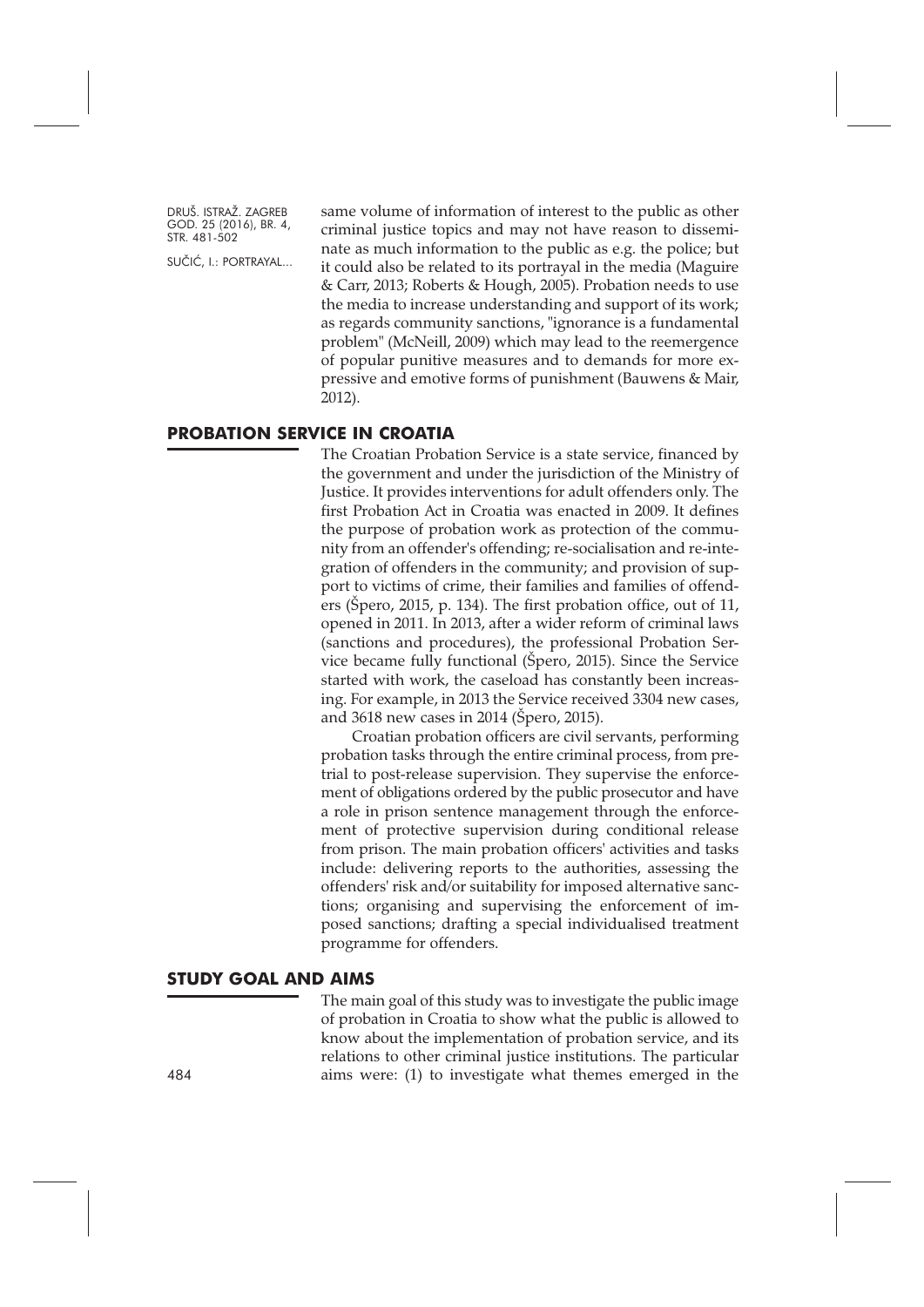SUČIĆ, I.: PORTRAYAL...

same volume of information of interest to the public as other criminal justice topics and may not have reason to disseminate as much information to the public as e.g. the police; but it could also be related to its portrayal in the media (Maguire & Carr, 2013; Roberts & Hough, 2005). Probation needs to use the media to increase understanding and support of its work; as regards community sanctions, "ignorance is a fundamental problem" (McNeill, 2009) which may lead to the reemergence of popular punitive measures and to demands for more expressive and emotive forms of punishment (Bauwens & Mair, 2012).

# **PROBATION SERVICE IN CROATIA**

The Croatian Probation Service is a state service, financed by the government and under the jurisdiction of the Ministry of Justice. It provides interventions for adult offenders only. The first Probation Act in Croatia was enacted in 2009. It defines the purpose of probation work as protection of the community from an offender's offending; re-socialisation and re-integration of offenders in the community; and provision of support to victims of crime, their families and families of offenders (Špero, 2015, p. 134). The first probation office, out of 11, opened in 2011. In 2013, after a wider reform of criminal laws (sanctions and procedures), the professional Probation Service became fully functional (Špero, 2015). Since the Service started with work, the caseload has constantly been increasing. For example, in 2013 the Service received 3304 new cases, and 3618 new cases in 2014 (Špero, 2015).

Croatian probation officers are civil servants, performing probation tasks through the entire criminal process, from pretrial to post-release supervision. They supervise the enforcement of obligations ordered by the public prosecutor and have a role in prison sentence management through the enforcement of protective supervision during conditional release from prison. The main probation officers' activities and tasks include: delivering reports to the authorities, assessing the offenders' risk and/or suitability for imposed alternative sanctions; organising and supervising the enforcement of imposed sanctions; drafting a special individualised treatment programme for offenders.

#### **STUDY GOAL AND AIMS**

The main goal of this study was to investigate the public image of probation in Croatia to show what the public is allowed to know about the implementation of probation service, and its relations to other criminal justice institutions. The particular aims were: (1) to investigate what themes emerged in the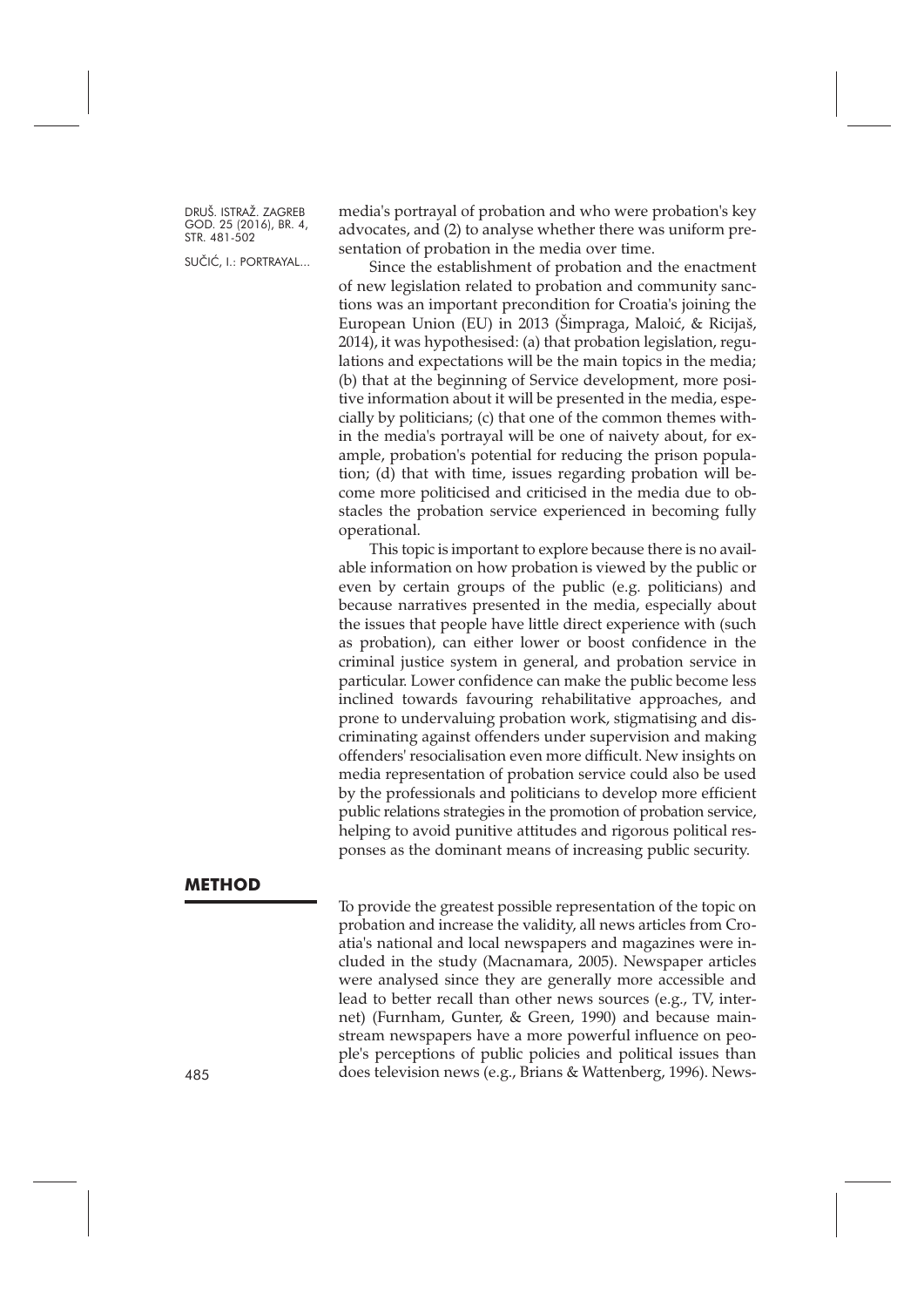SUČIĆ, I.: PORTRAYAL...

media's portrayal of probation and who were probation's key advocates, and (2) to analyse whether there was uniform presentation of probation in the media over time.

Since the establishment of probation and the enactment of new legislation related to probation and community sanctions was an important precondition for Croatia's joining the European Union (EU) in 2013 (Šimpraga, Maloić, & Ricijaš, 2014), it was hypothesised: (a) that probation legislation, regulations and expectations will be the main topics in the media; (b) that at the beginning of Service development, more positive information about it will be presented in the media, especially by politicians; (c) that one of the common themes within the media's portrayal will be one of naivety about, for example, probation's potential for reducing the prison population; (d) that with time, issues regarding probation will become more politicised and criticised in the media due to obstacles the probation service experienced in becoming fully operational.

This topic is important to explore because there is no available information on how probation is viewed by the public or even by certain groups of the public (e.g. politicians) and because narratives presented in the media, especially about the issues that people have little direct experience with (such as probation), can either lower or boost confidence in the criminal justice system in general, and probation service in particular. Lower confidence can make the public become less inclined towards favouring rehabilitative approaches, and prone to undervaluing probation work, stigmatising and discriminating against offenders under supervision and making offenders' resocialisation even more difficult. New insights on media representation of probation service could also be used by the professionals and politicians to develop more efficient public relations strategies in the promotion of probation service, helping to avoid punitive attitudes and rigorous political responses as the dominant means of increasing public security.

#### **METHOD**

To provide the greatest possible representation of the topic on probation and increase the validity, all news articles from Croatia's national and local newspapers and magazines were included in the study (Macnamara, 2005). Newspaper articles were analysed since they are generally more accessible and lead to better recall than other news sources (e.g., TV, internet) (Furnham, Gunter, & Green, 1990) and because mainstream newspapers have a more powerful influence on people's perceptions of public policies and political issues than 485 does television news (e.g., Brians & Wattenberg, 1996). News-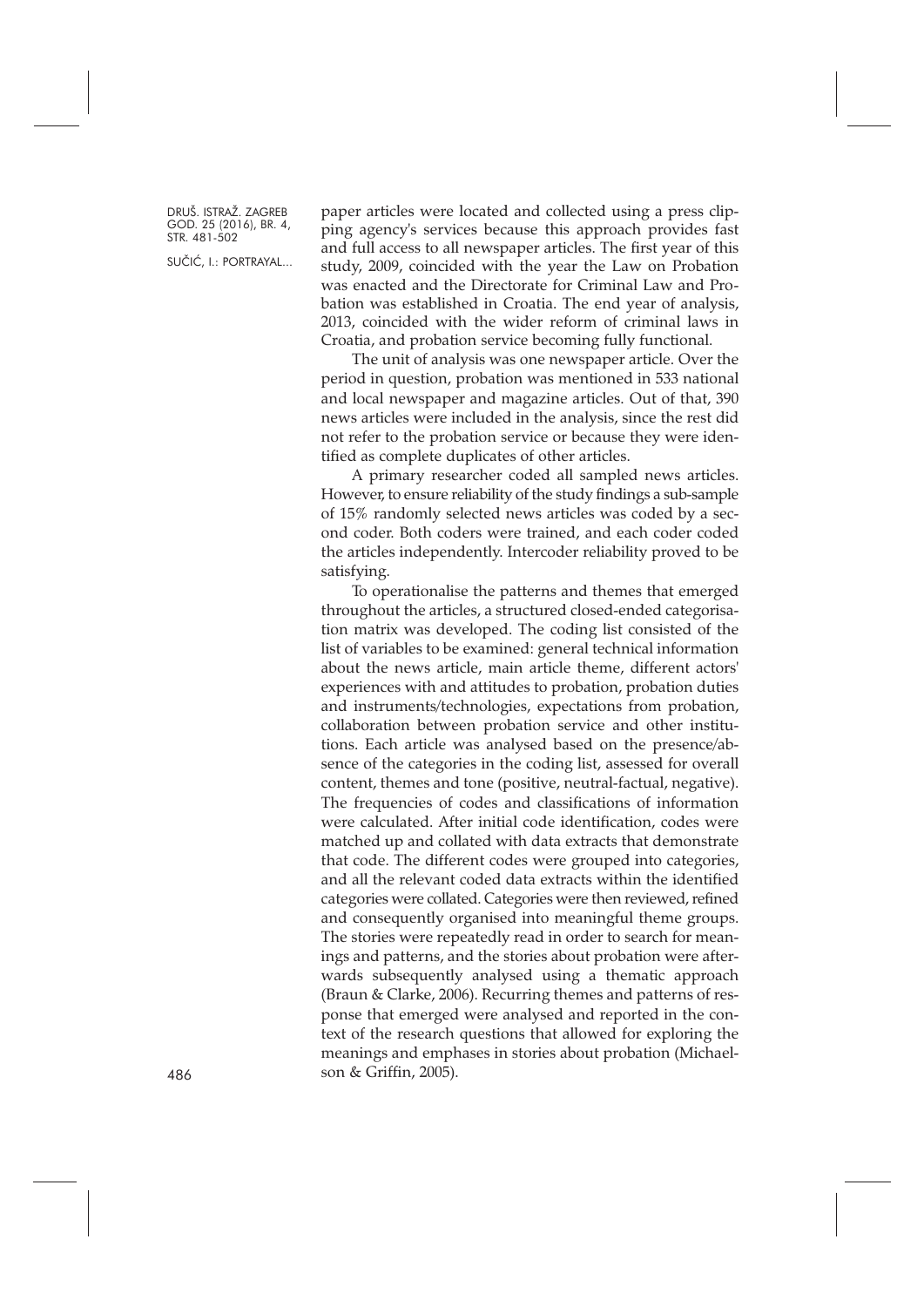SUČIĆ, I.: PORTRAYAL...

paper articles were located and collected using a press clipping agency's services because this approach provides fast and full access to all newspaper articles. The first year of this study, 2009, coincided with the year the Law on Probation was enacted and the Directorate for Criminal Law and Probation was established in Croatia. The end year of analysis, 2013, coincided with the wider reform of criminal laws in Croatia, and probation service becoming fully functional.

The unit of analysis was one newspaper article. Over the period in question, probation was mentioned in 533 national and local newspaper and magazine articles. Out of that, 390 news articles were included in the analysis, since the rest did not refer to the probation service or because they were identified as complete duplicates of other articles.

A primary researcher coded all sampled news articles. However, to ensure reliability of the study findings a sub-sample of 15% randomly selected news articles was coded by a second coder. Both coders were trained, and each coder coded the articles independently. Intercoder reliability proved to be satisfying.

To operationalise the patterns and themes that emerged throughout the articles, a structured closed-ended categorisation matrix was developed. The coding list consisted of the list of variables to be examined: general technical information about the news article, main article theme, different actors' experiences with and attitudes to probation, probation duties and instruments/technologies, expectations from probation, collaboration between probation service and other institutions. Each article was analysed based on the presence/absence of the categories in the coding list, assessed for overall content, themes and tone (positive, neutral-factual, negative). The frequencies of codes and classifications of information were calculated. After initial code identification, codes were matched up and collated with data extracts that demonstrate that code. The different codes were grouped into categories, and all the relevant coded data extracts within the identified categories were collated. Categories were then reviewed, refined and consequently organised into meaningful theme groups. The stories were repeatedly read in order to search for meanings and patterns, and the stories about probation were afterwards subsequently analysed using a thematic approach (Braun & Clarke, 2006). Recurring themes and patterns of response that emerged were analysed and reported in the context of the research questions that allowed for exploring the meanings and emphases in stories about probation (Michaelson & Griffin, 2005).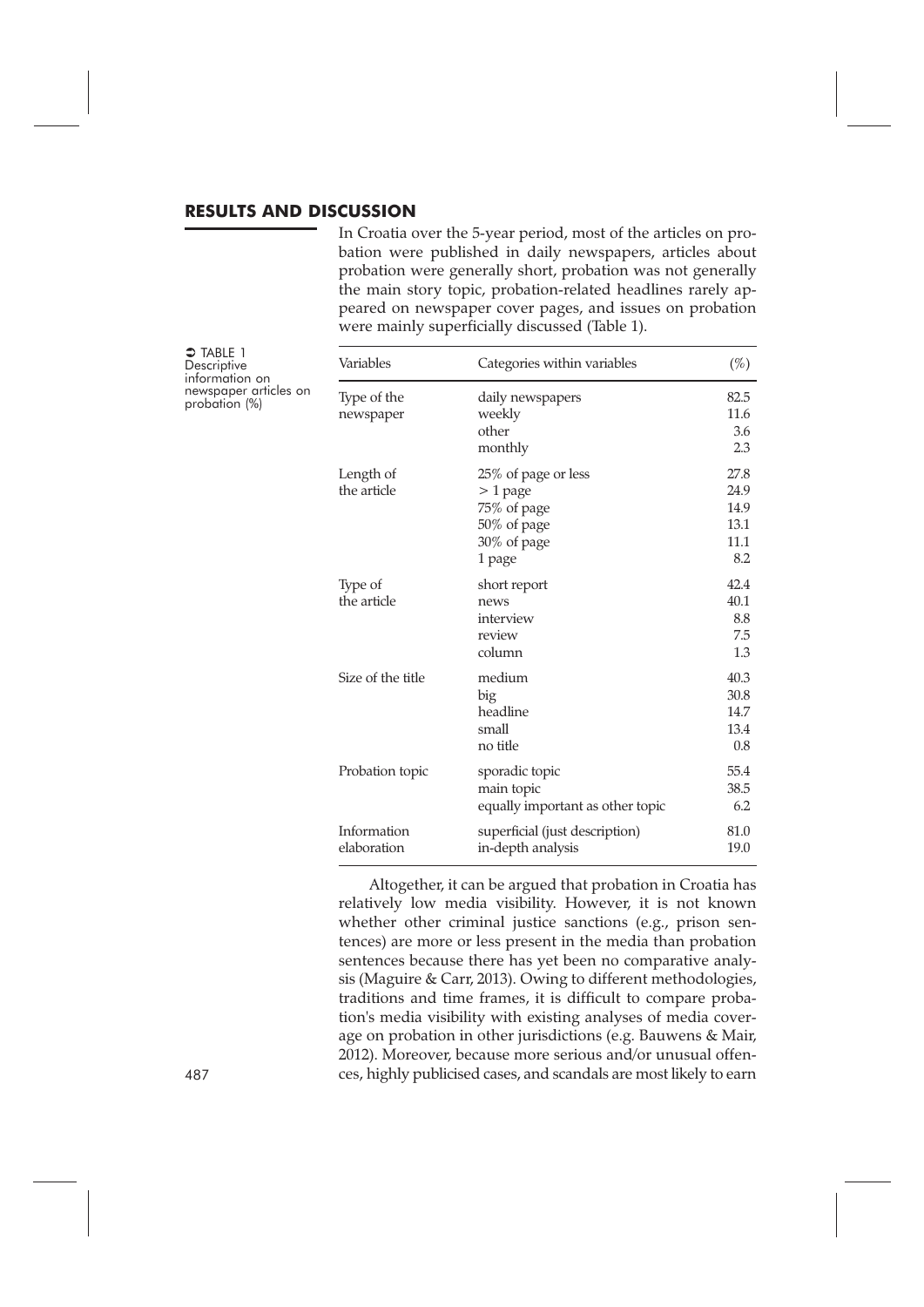#### **RESULTS AND DISCUSSION**

In Croatia over the 5-year period, most of the articles on probation were published in daily newspapers, articles about probation were generally short, probation was not generally the main story topic, probation-related headlines rarely appeared on newspaper cover pages, and issues on probation were mainly superficially discussed (Table 1).

| $\supset$ TABLE 1<br>Descriptive                         | Variables                                                   | Categories within variables                                                              | $(\%)$<br>82.5<br>11.6<br>3.6<br>2.3<br>27.8<br>24.9<br>14.9<br>13.1<br>11.1<br>8.2<br>42.4<br>40.1<br>8.8<br>7.5<br>1.3<br>40.3<br>30.8<br>14.7<br>13.4 |
|----------------------------------------------------------|-------------------------------------------------------------|------------------------------------------------------------------------------------------|----------------------------------------------------------------------------------------------------------------------------------------------------------|
| information on<br>newspaper articles on<br>probation (%) | Type of the<br>newspaper                                    | daily newspapers<br>weekly<br>other<br>monthly                                           |                                                                                                                                                          |
|                                                          | Length of<br>the article                                    | 25% of page or less<br>$> 1$ page<br>75% of page<br>50% of page<br>30% of page<br>1 page |                                                                                                                                                          |
|                                                          | Type of<br>the article                                      | short report<br>news<br>interview<br>review<br>column                                    |                                                                                                                                                          |
|                                                          | Size of the title                                           | medium<br>big<br>headline<br>small<br>no title                                           | 0.8                                                                                                                                                      |
|                                                          | Probation topic<br>main topic<br>Information<br>elaboration | sporadic topic<br>equally important as other topic                                       | 55.4<br>38.5<br>6.2                                                                                                                                      |
|                                                          |                                                             | superficial (just description)<br>in-depth analysis                                      | 81.0<br>19.0                                                                                                                                             |

Altogether, it can be argued that probation in Croatia has relatively low media visibility. However, it is not known whether other criminal justice sanctions (e.g., prison sentences) are more or less present in the media than probation sentences because there has yet been no comparative analysis (Maguire & Carr, 2013). Owing to different methodologies, traditions and time frames, it is difficult to compare probation's media visibility with existing analyses of media coverage on probation in other jurisdictions (e.g. Bauwens & Mair, 2012). Moreover, because more serious and/or unusual offen-487 ces, highly publicised cases, and scandals are most likely to earn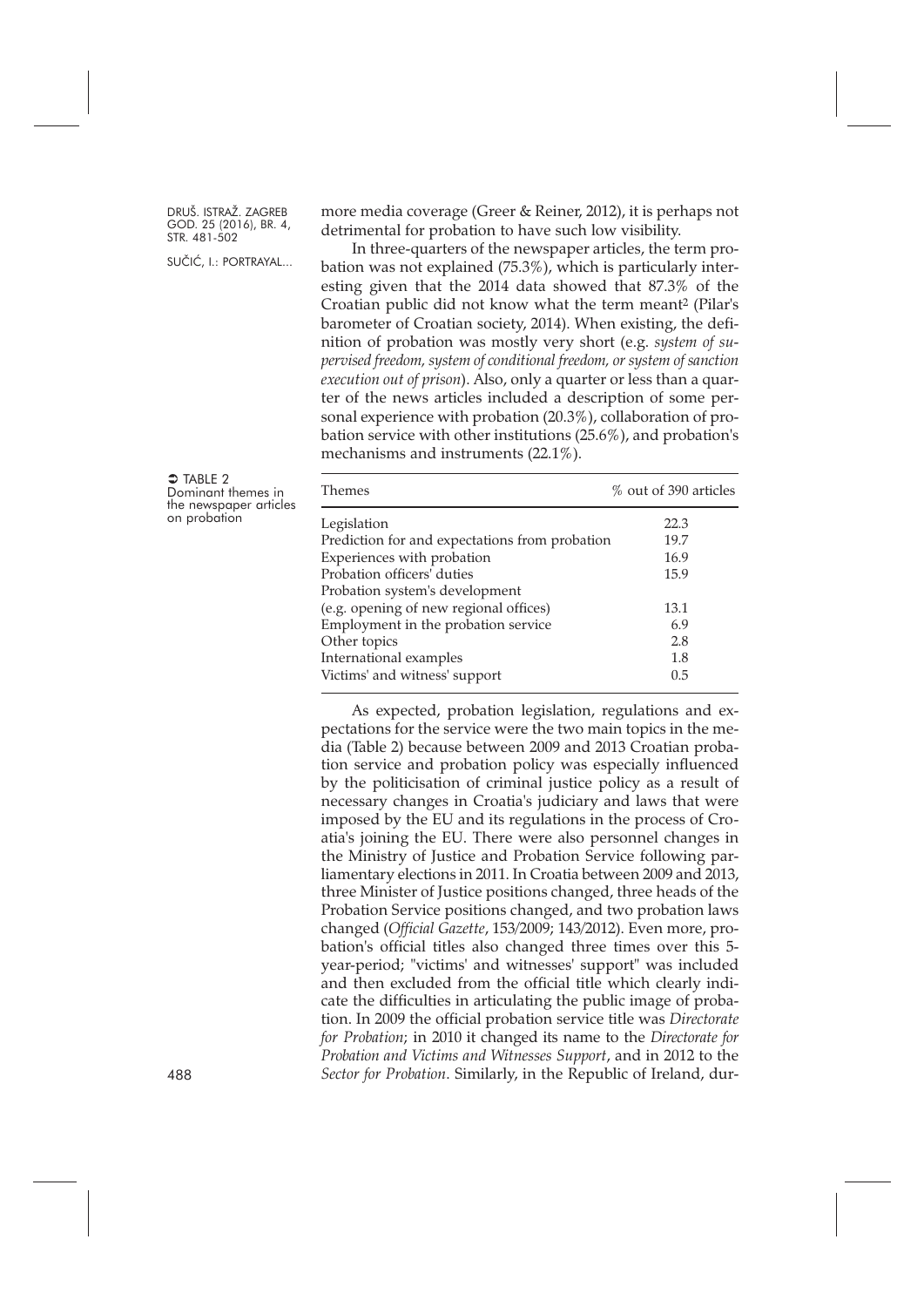SUČIĆ, I.: PORTRAYAL...

more media coverage (Greer & Reiner, 2012), it is perhaps not detrimental for probation to have such low visibility.

In three-quarters of the newspaper articles, the term probation was not explained (75.3%), which is particularly interesting given that the 2014 data showed that 87.3% of the Croatian public did not know what the term meant2 (Pilar's barometer of Croatian society, 2014). When existing, the definition of probation was mostly very short (e.g. *system of supervised freedom, system of conditional freedom, or system of sanction execution out of prison*). Also, only a quarter or less than a quarter of the news articles included a description of some personal experience with probation (20.3%), collaboration of probation service with other institutions (25.6%), and probation's mechanisms and instruments (22.1%).

| <b>Themes</b>                                  | % out of 390 articles |
|------------------------------------------------|-----------------------|
| Legislation                                    | 22.3                  |
| Prediction for and expectations from probation | 19.7                  |
| Experiences with probation                     | 16.9                  |
| Probation officers' duties                     | 15.9                  |
| Probation system's development                 |                       |
| (e.g. opening of new regional offices)         | 13.1                  |
| Employment in the probation service            | 6.9                   |
| Other topics                                   | 2.8                   |
| International examples                         | 1.8                   |
| Victims' and witness' support                  | 0.5                   |
|                                                |                       |

As expected, probation legislation, regulations and expectations for the service were the two main topics in the media (Table 2) because between 2009 and 2013 Croatian probation service and probation policy was especially influenced by the politicisation of criminal justice policy as a result of necessary changes in Croatia's judiciary and laws that were imposed by the EU and its regulations in the process of Croatia's joining the EU. There were also personnel changes in the Ministry of Justice and Probation Service following parliamentary elections in 2011. In Croatia between 2009 and 2013, three Minister of Justice positions changed, three heads of the Probation Service positions changed, and two probation laws changed (*Official Gazette*, 153/2009; 143/2012). Even more, probation's official titles also changed three times over this 5 year-period; "victims' and witnesses' support" was included and then excluded from the official title which clearly indicate the difficulties in articulating the public image of probation. In 2009 the official probation service title was *Directorate for Probation*; in 2010 it changed its name to the *Directorate for Probation and Victims and Witnesses Support*, and in 2012 to the *Sector for Probation*. Similarly, in the Republic of Ireland, dur-

 $\supset$  TABLE 2 Dominant themes in the newspaper articles on probation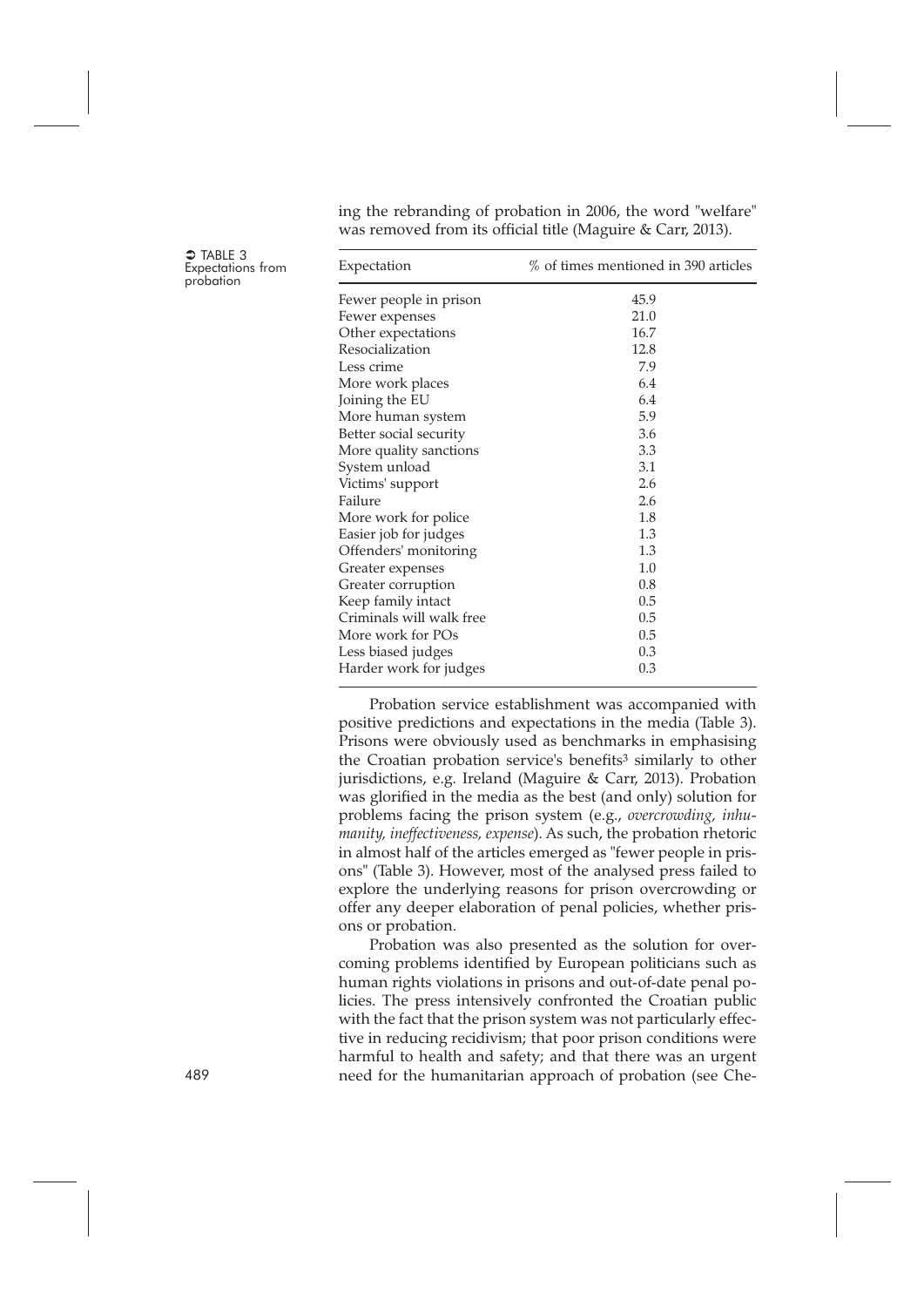| Expectation              | % of times mentioned in 390 articles |
|--------------------------|--------------------------------------|
| Fewer people in prison   | 45.9                                 |
| Fewer expenses           | 21.0                                 |
| Other expectations       | 16.7                                 |
| Resocialization          | 12.8                                 |
| Less crime               | 7.9                                  |
| More work places         | 6.4                                  |
| Joining the EU           | 6.4                                  |
| More human system        | 5.9                                  |
| Better social security   | 3.6                                  |
| More quality sanctions   | 3.3                                  |
| System unload            | 3.1                                  |
| Victims' support         | 2.6                                  |
| Failure                  | 2.6                                  |
| More work for police     | 1.8                                  |
| Easier job for judges    | 1.3                                  |
| Offenders' monitoring    | 1.3                                  |
| Greater expenses         | 1.0                                  |
| Greater corruption       | 0.8                                  |
| Keep family intact       | 0.5                                  |
| Criminals will walk free | 0.5                                  |
| More work for POs        | 0.5                                  |
| Less biased judges       | 0.3                                  |
| Harder work for judges   | 0.3                                  |
|                          |                                      |

ing the rebranding of probation in 2006, the word "welfare" was removed from its official title (Maguire & Carr, 2013).

Probation service establishment was accompanied with positive predictions and expectations in the media (Table 3). Prisons were obviously used as benchmarks in emphasising the Croatian probation service's benefits<sup>3</sup> similarly to other jurisdictions, e.g. Ireland (Maguire & Carr, 2013). Probation was glorified in the media as the best (and only) solution for problems facing the prison system (e.g., *overcrowding, inhumanity, ineffectiveness, expense*). As such, the probation rhetoric in almost half of the articles emerged as "fewer people in prisons" (Table 3). However, most of the analysed press failed to explore the underlying reasons for prison overcrowding or offer any deeper elaboration of penal policies, whether prisons or probation.

Probation was also presented as the solution for overcoming problems identified by European politicians such as human rights violations in prisons and out-of-date penal policies. The press intensively confronted the Croatian public with the fact that the prison system was not particularly effective in reducing recidivism; that poor prison conditions were harmful to health and safety; and that there was an urgent 489 need for the humanitarian approach of probation (see Che-

 $\supset$  TABLE 3 Expectations from<br>probation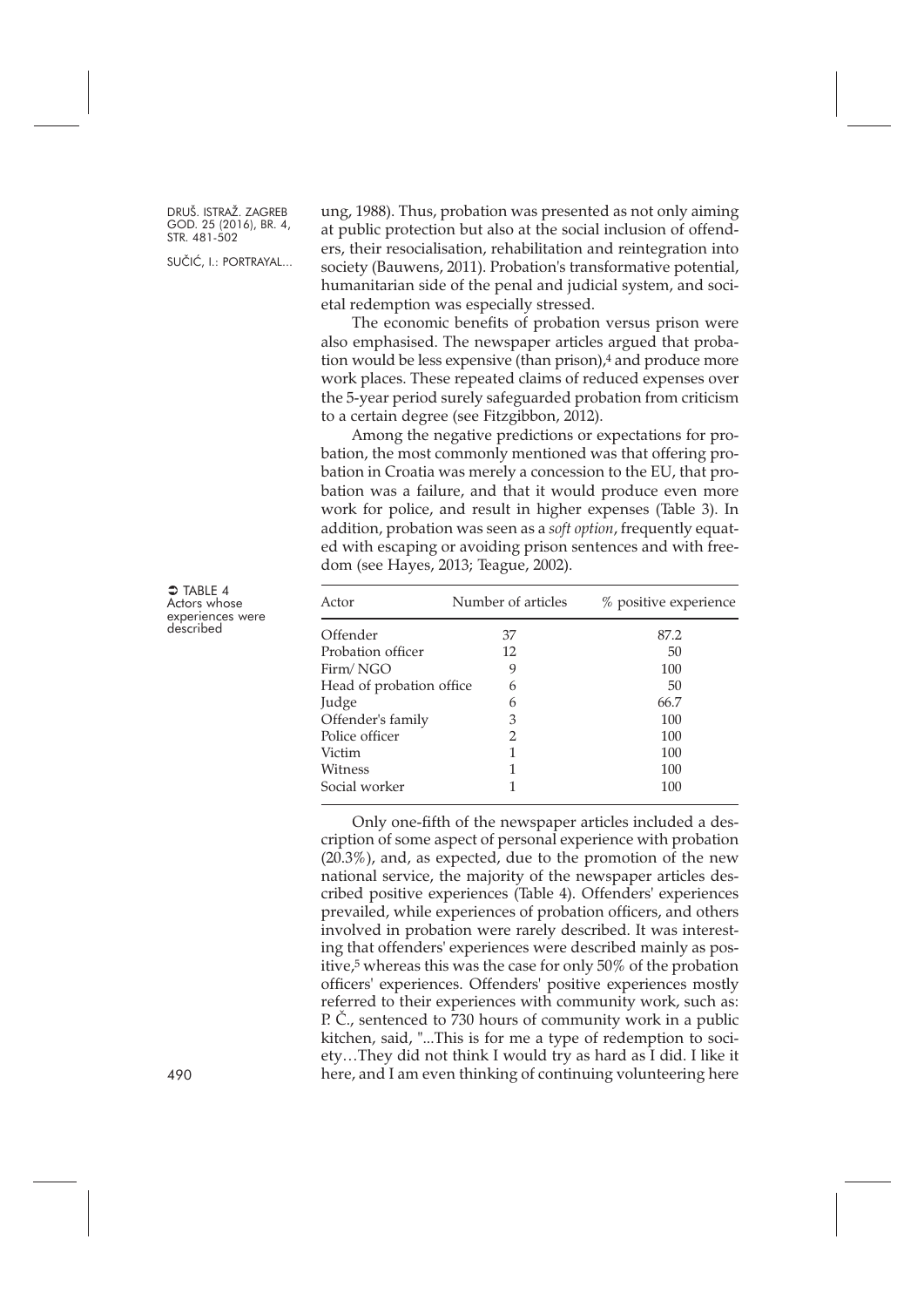SUČIĆ, I.: PORTRAYAL...

ung, 1988). Thus, probation was presented as not only aiming at public protection but also at the social inclusion of offenders, their resocialisation, rehabilitation and reintegration into society (Bauwens, 2011). Probation's transformative potential, humanitarian side of the penal and judicial system, and societal redemption was especially stressed.

The economic benefits of probation versus prison were also emphasised. The newspaper articles argued that probation would be less expensive (than prison),<sup>4</sup> and produce more work places. These repeated claims of reduced expenses over the 5-year period surely safeguarded probation from criticism to a certain degree (see Fitzgibbon, 2012).

Among the negative predictions or expectations for probation, the most commonly mentioned was that offering probation in Croatia was merely a concession to the EU, that probation was a failure, and that it would produce even more work for police, and result in higher expenses (Table 3). In addition, probation was seen as a *soft option*, frequently equated with escaping or avoiding prison sentences and with freedom (see Hayes, 2013; Teague, 2002).

| Actor                    | Number of articles | % positive experience |  |  |
|--------------------------|--------------------|-----------------------|--|--|
| Offender                 | 37                 | 87.2                  |  |  |
| Probation officer        | 12                 | 50                    |  |  |
| Firm/NGO                 | 9                  | 100                   |  |  |
| Head of probation office | 6                  | 50                    |  |  |
| Judge                    | 6                  | 66.7                  |  |  |
| Offender's family        | 3                  | 100                   |  |  |
| Police officer           | 2                  | 100                   |  |  |
| Victim                   | 1                  | 100                   |  |  |
| Witness                  |                    | 100                   |  |  |
| Social worker            |                    | 100                   |  |  |

Only one-fifth of the newspaper articles included a description of some aspect of personal experience with probation (20.3%), and, as expected, due to the promotion of the new national service, the majority of the newspaper articles described positive experiences (Table 4). Offenders' experiences prevailed, while experiences of probation officers, and others involved in probation were rarely described. It was interesting that offenders' experiences were described mainly as positive,5 whereas this was the case for only 50% of the probation officers' experiences. Offenders' positive experiences mostly referred to their experiences with community work, such as: P. Č., sentenced to 730 hours of community work in a public kitchen, said, "...This is for me a type of redemption to society…They did not think I would try as hard as I did. I like it here, and I am even thinking of continuing volunteering here

 $\bigcirc$  TABLE 4 Actors whose experiences were described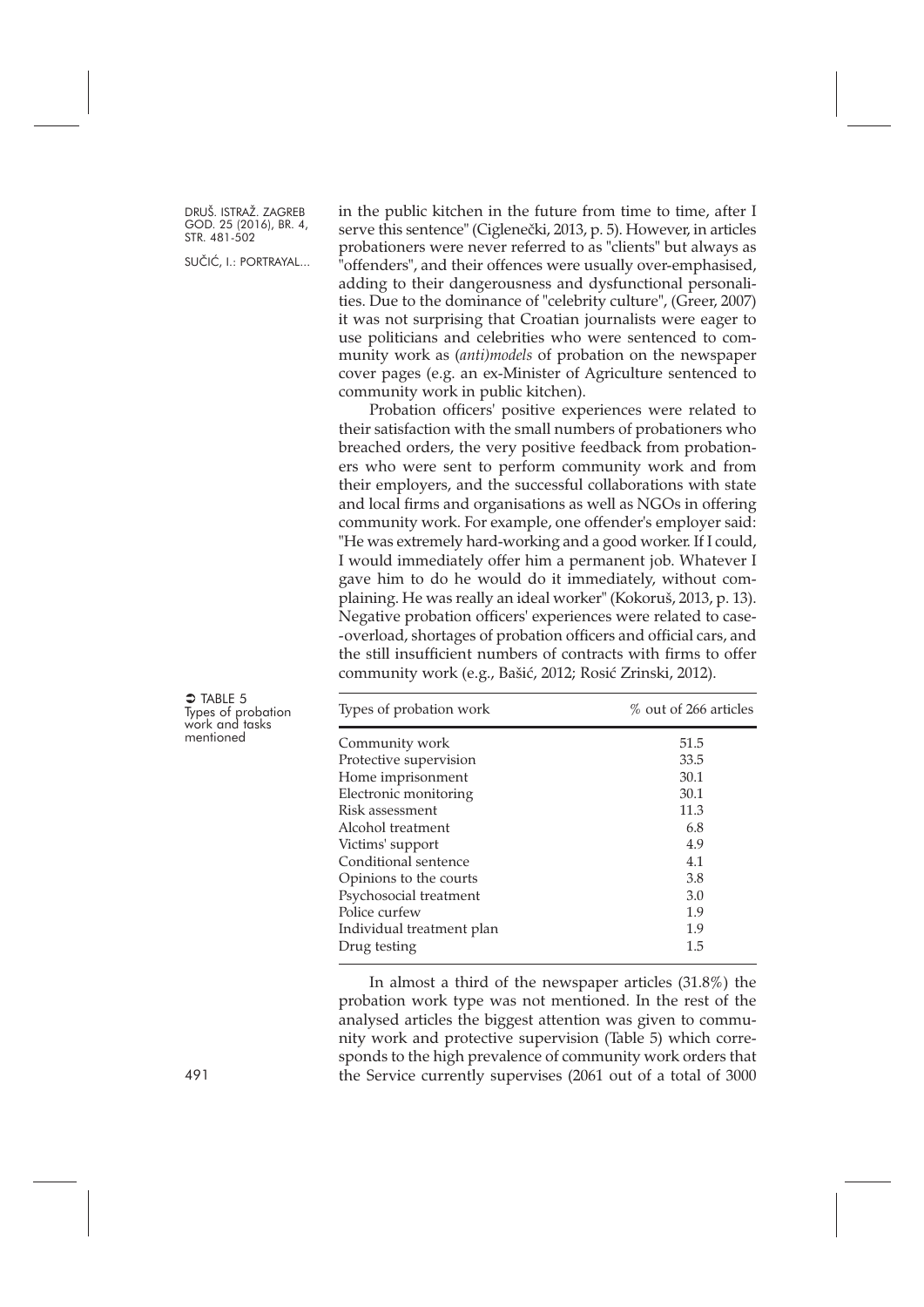SUČIĆ, I.: PORTRAYAL...

in the public kitchen in the future from time to time, after I serve this sentence" (Ciglenečki, 2013, p. 5). However, in articles probationers were never referred to as "clients" but always as "offenders", and their offences were usually over-emphasised, adding to their dangerousness and dysfunctional personalities. Due to the dominance of "celebrity culture", (Greer, 2007) it was not surprising that Croatian journalists were eager to use politicians and celebrities who were sentenced to community work as (*anti)models* of probation on the newspaper cover pages (e.g. an ex-Minister of Agriculture sentenced to community work in public kitchen).

Probation officers' positive experiences were related to their satisfaction with the small numbers of probationers who breached orders, the very positive feedback from probationers who were sent to perform community work and from their employers, and the successful collaborations with state and local firms and organisations as well as NGOs in offering community work. For example, one offender's employer said: "He was extremely hard-working and a good worker. If I could, I would immediately offer him a permanent job. Whatever I gave him to do he would do it immediately, without complaining. He was really an ideal worker" (Kokoruš, 2013, p. 13). Negative probation officers' experiences were related to case- -overload, shortages of probation officers and official cars, and the still insufficient numbers of contracts with firms to offer community work (e.g., Bašić, 2012; Rosić Zrinski, 2012).

| Types of probation work   | % out of 266 articles |  |  |  |
|---------------------------|-----------------------|--|--|--|
| Community work            | 51.5                  |  |  |  |
| Protective supervision    | 33.5                  |  |  |  |
| Home imprisonment         | 30.1                  |  |  |  |
| Electronic monitoring     | 30.1                  |  |  |  |
| Risk assessment           | 11.3                  |  |  |  |
| Alcohol treatment         | 6.8                   |  |  |  |
| Victims' support          | 4.9                   |  |  |  |
| Conditional sentence      | 4.1                   |  |  |  |
| Opinions to the courts    | 3.8                   |  |  |  |
| Psychosocial treatment    | 3.0                   |  |  |  |
| Police curfew             | 1.9                   |  |  |  |
| Individual treatment plan | 1.9                   |  |  |  |
| Drug testing              | 1.5                   |  |  |  |

In almost a third of the newspaper articles (31.8%) the probation work type was not mentioned. In the rest of the analysed articles the biggest attention was given to community work and protective supervision (Table 5) which corresponds to the high prevalence of community work orders that 491 the Service currently supervises (2061 out of a total of 3000

 $\bigcirc$  TABLE 5 Types of probation work and tasks mentioned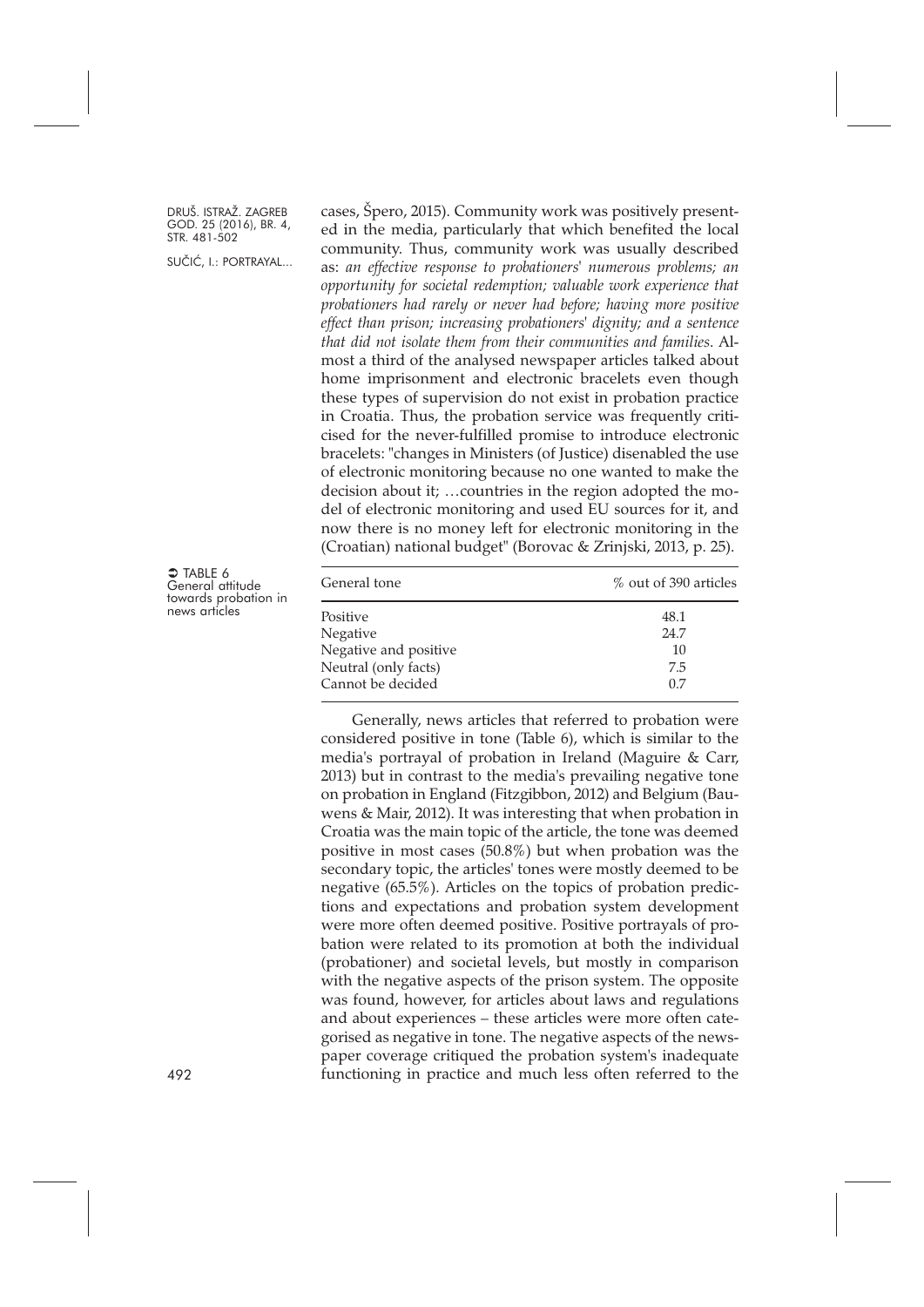SUČIĆ, I.: PORTRAYAL...

cases, Špero, 2015). Community work was positively presented in the media, particularly that which benefited the local community. Thus, community work was usually described as: *an effective response to probationers' numerous problems; an opportunity for societal redemption; valuable work experience that probationers had rarely or never had before; having more positive effect than prison; increasing probationers' dignity; and a sentence that did not isolate them from their communities and families*. Almost a third of the analysed newspaper articles talked about home imprisonment and electronic bracelets even though these types of supervision do not exist in probation practice in Croatia. Thus, the probation service was frequently criticised for the never-fulfilled promise to introduce electronic bracelets: "changes in Ministers (of Justice) disenabled the use of electronic monitoring because no one wanted to make the decision about it; …countries in the region adopted the model of electronic monitoring and used EU sources for it, and now there is no money left for electronic monitoring in the (Croatian) national budget" (Borovac & Zrinjski, 2013, p. 25).

 $\supset$  TABLE 6 General attitude towards probation in news articles

| General tone          | % out of 390 articles |
|-----------------------|-----------------------|
| Positive              | 48.1                  |
| Negative              | 24.7                  |
| Negative and positive | 10                    |
| Neutral (only facts)  | 7.5                   |
| Cannot be decided     | 0.7                   |

Generally, news articles that referred to probation were considered positive in tone (Table 6), which is similar to the media's portrayal of probation in Ireland (Maguire & Carr, 2013) but in contrast to the media's prevailing negative tone on probation in England (Fitzgibbon, 2012) and Belgium (Bauwens & Mair, 2012). It was interesting that when probation in Croatia was the main topic of the article, the tone was deemed positive in most cases (50.8%) but when probation was the secondary topic, the articles' tones were mostly deemed to be negative (65.5%). Articles on the topics of probation predictions and expectations and probation system development were more often deemed positive. Positive portrayals of probation were related to its promotion at both the individual (probationer) and societal levels, but mostly in comparison with the negative aspects of the prison system. The opposite was found, however, for articles about laws and regulations and about experiences – these articles were more often categorised as negative in tone. The negative aspects of the newspaper coverage critiqued the probation system's inadequate functioning in practice and much less often referred to the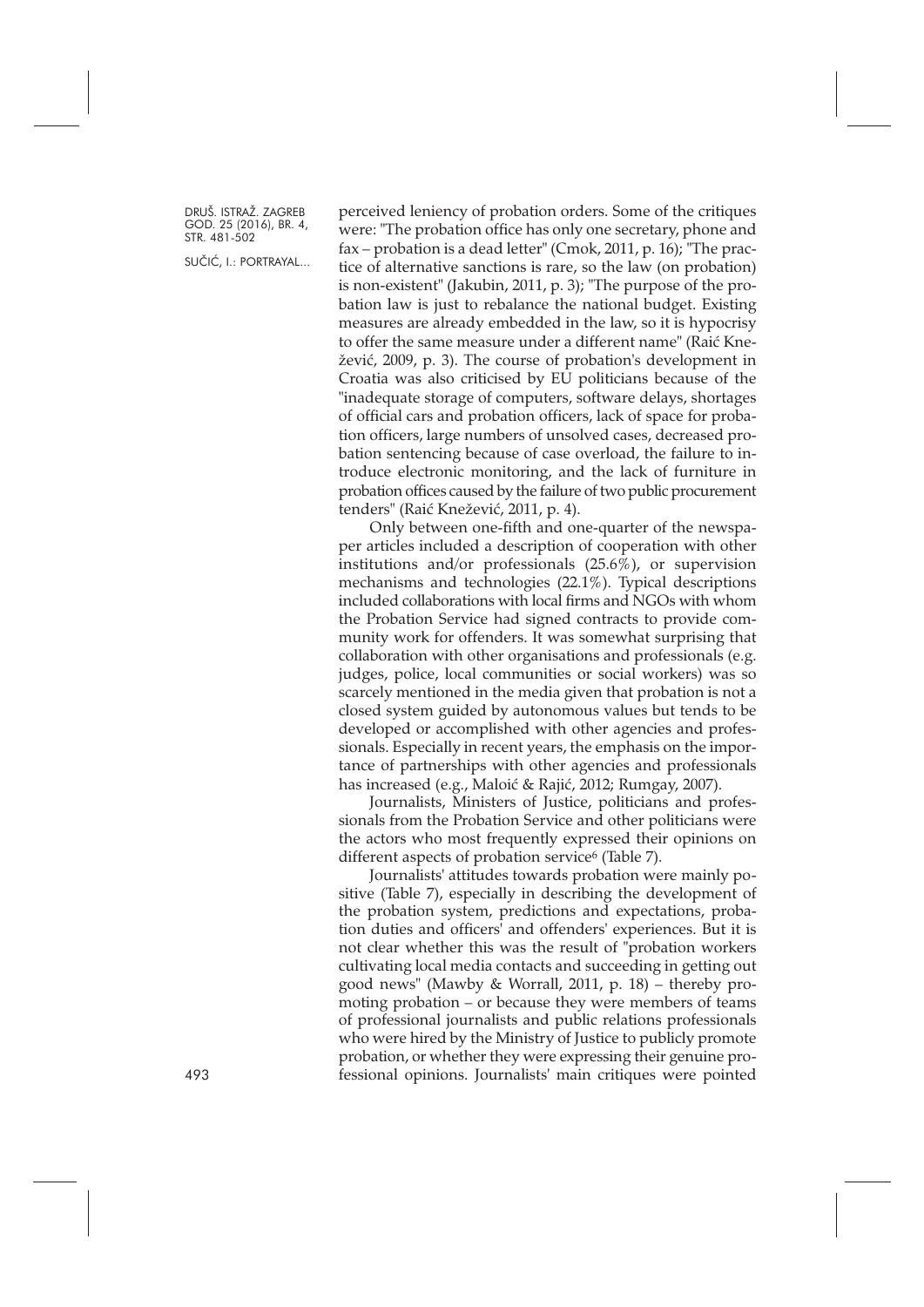SUČIĆ, I.: PORTRAYAL...

perceived leniency of probation orders. Some of the critiques were: "The probation office has only one secretary, phone and fax – probation is a dead letter" (Cmok, 2011, p. 16); "The practice of alternative sanctions is rare, so the law (on probation) is non-existent" (Jakubin, 2011, p. 3); "The purpose of the probation law is just to rebalance the national budget. Existing measures are already embedded in the law, so it is hypocrisy to offer the same measure under a different name" (Raić Knežević, 2009, p. 3). The course of probation's development in Croatia was also criticised by EU politicians because of the "inadequate storage of computers, software delays, shortages of official cars and probation officers, lack of space for probation officers, large numbers of unsolved cases, decreased probation sentencing because of case overload, the failure to introduce electronic monitoring, and the lack of furniture in probation offices caused by the failure of two public procurement tenders" (Raić Knežević, 2011, p. 4).

Only between one-fifth and one-quarter of the newspaper articles included a description of cooperation with other institutions and/or professionals (25.6%), or supervision mechanisms and technologies (22.1%). Typical descriptions included collaborations with local firms and NGOs with whom the Probation Service had signed contracts to provide community work for offenders. It was somewhat surprising that collaboration with other organisations and professionals (e.g. judges, police, local communities or social workers) was so scarcely mentioned in the media given that probation is not a closed system guided by autonomous values but tends to be developed or accomplished with other agencies and professionals. Especially in recent years, the emphasis on the importance of partnerships with other agencies and professionals has increased (e.g., Maloić & Rajić, 2012; Rumgay, 2007).

Journalists, Ministers of Justice, politicians and professionals from the Probation Service and other politicians were the actors who most frequently expressed their opinions on different aspects of probation service<sup>6</sup> (Table 7).

Journalists' attitudes towards probation were mainly positive (Table 7), especially in describing the development of the probation system, predictions and expectations, probation duties and officers' and offenders' experiences. But it is not clear whether this was the result of "probation workers cultivating local media contacts and succeeding in getting out good news" (Mawby & Worrall, 2011, p. 18) – thereby promoting probation – or because they were members of teams of professional journalists and public relations professionals who were hired by the Ministry of Justice to publicly promote probation, or whether they were expressing their genuine pro-493 fessional opinions. Journalists' main critiques were pointed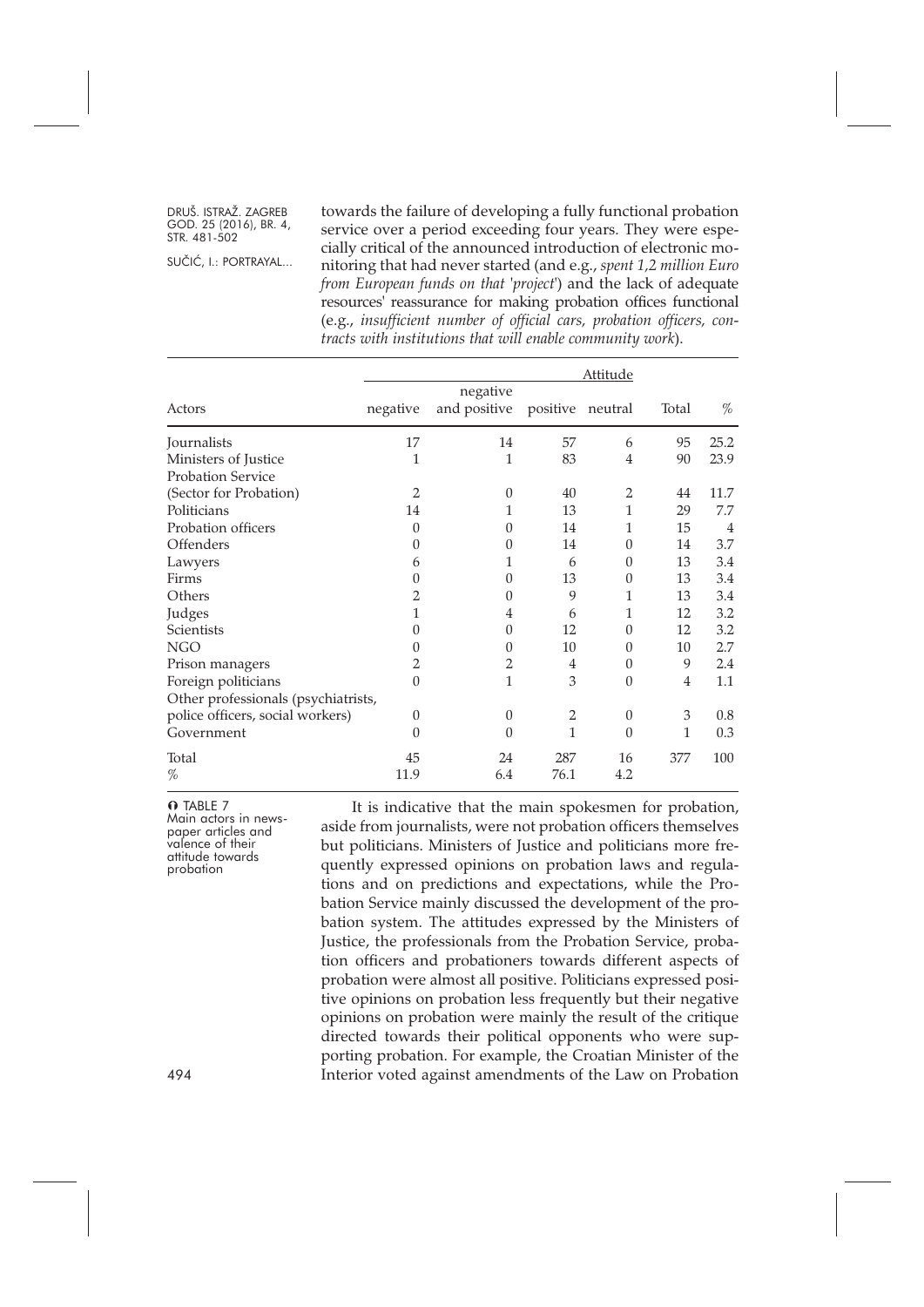SUČIĆ, I.: PORTRAYAL...

towards the failure of developing a fully functional probation service over a period exceeding four years. They were especially critical of the announced introduction of electronic monitoring that had never started (and e.g., *spent 1,2 million Euro from European funds on that 'project*') and the lack of adequate resources' reassurance for making probation offices functional (e.g., *insufficient number of official cars, probation officers, contracts with institutions that will enable community work*).

|                                     | Attitude       |                                           |              |                  |       |                |
|-------------------------------------|----------------|-------------------------------------------|--------------|------------------|-------|----------------|
| Actors                              | negative       | negative<br>and positive positive neutral |              |                  | Total | %              |
| Journalists                         | 17             | 14                                        | 57           | 6                | 95    | 25.2           |
| Ministers of Justice                | 1              | 1                                         | 83           | $\overline{4}$   | 90    | 23.9           |
| Probation Service                   |                |                                           |              |                  |       |                |
| (Sector for Probation)              | $\overline{2}$ | $\theta$                                  | 40           | $\overline{2}$   | 44    | 11.7           |
| Politicians                         | 14             | 1                                         | 13           | $\mathbf 1$      | 29    | 7.7            |
| Probation officers                  | $\theta$       | $\theta$                                  | 14           | 1                | 15    | $\overline{4}$ |
| Offenders                           | 0              | $\theta$                                  | 14           | $\theta$         | 14    | 3.7            |
| Lawyers                             | 6              | 1                                         | 6            | $\boldsymbol{0}$ | 13    | 3.4            |
| Firms                               | 0              | $\theta$                                  | 13           | $\theta$         | 13    | 3.4            |
| Others                              | $\overline{2}$ | $\theta$                                  | 9            | 1                | 13    | 3.4            |
| Judges                              | 1              | $\overline{4}$                            | 6            | 1                | 12    | 3.2            |
| Scientists                          | 0              | $\theta$                                  | 12           | $\theta$         | 12    | 3.2            |
| <b>NGO</b>                          | 0              | $\theta$                                  | 10           | $\theta$         | 10    | 2.7            |
| Prison managers                     | 2              | 2                                         | 4            | $\theta$         | 9     | 2.4            |
| Foreign politicians                 | $\theta$       | 1                                         | 3            | $\theta$         | 4     | 1.1            |
| Other professionals (psychiatrists, |                |                                           |              |                  |       |                |
| police officers, social workers)    | $\theta$       | $\boldsymbol{0}$                          | $\mathbf{2}$ | $\boldsymbol{0}$ | 3     | 0.8            |
| Government                          | $\theta$       | $\theta$                                  | 1            | $\overline{0}$   | 1     | 0.3            |
| Total                               | 45             | 24                                        | 287          | 16               | 377   | 100            |
| %                                   | 11.9           | 6.4                                       | 76.1         | 4.2              |       |                |

**O** TABLE 7<br>Main actors in newspaper articles and<br>valence of their<br>attitude towards<br>probation

It is indicative that the main spokesmen for probation, aside from journalists, were not probation officers themselves but politicians. Ministers of Justice and politicians more frequently expressed opinions on probation laws and regulations and on predictions and expectations, while the Probation Service mainly discussed the development of the probation system. The attitudes expressed by the Ministers of Justice, the professionals from the Probation Service, probation officers and probationers towards different aspects of probation were almost all positive. Politicians expressed positive opinions on probation less frequently but their negative opinions on probation were mainly the result of the critique directed towards their political opponents who were supporting probation. For example, the Croatian Minister of the Interior voted against amendments of the Law on Probation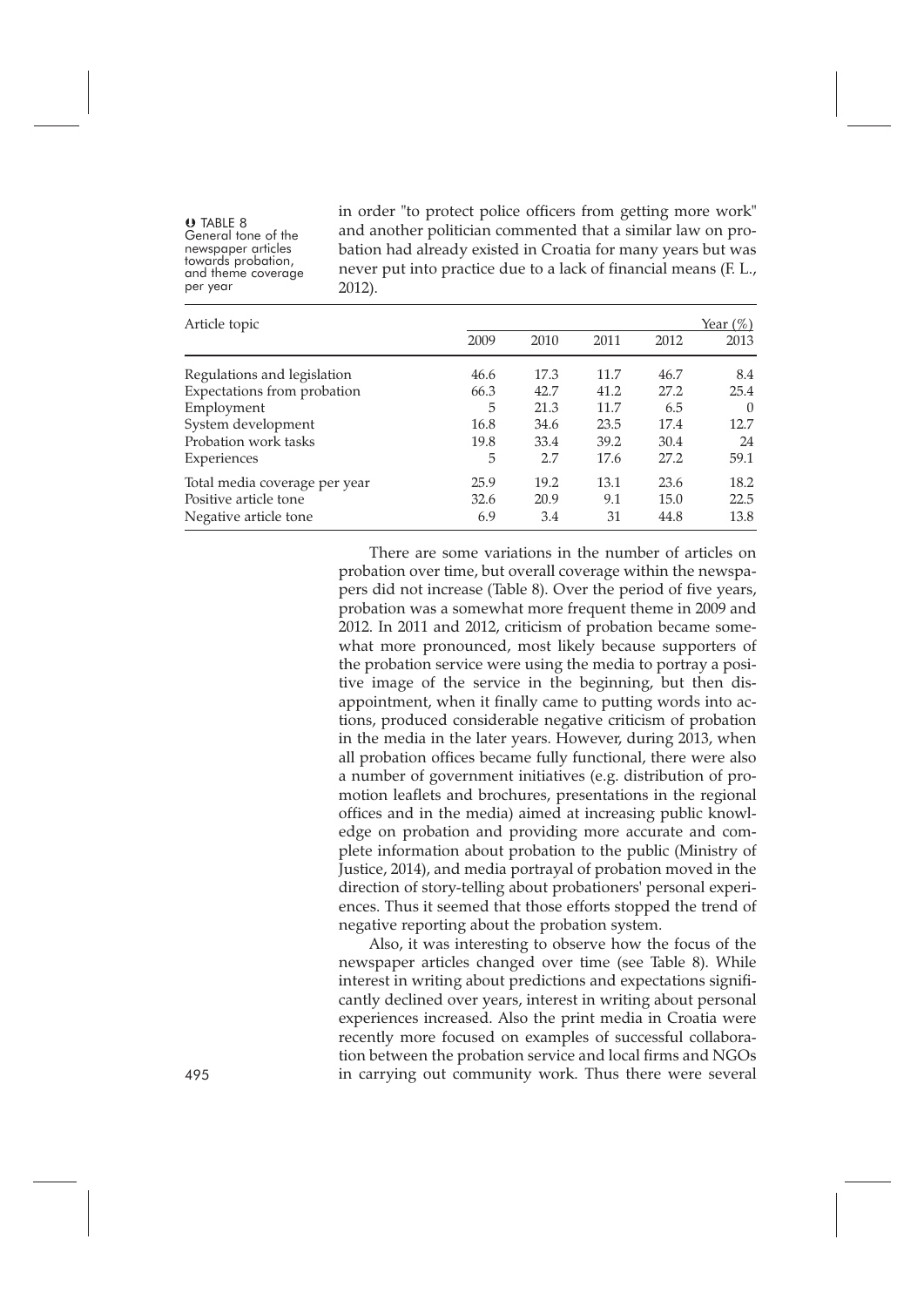in order "to protect police officers from getting more work" and another politician commented that a similar law on probation had already existed in Croatia for many years but was never put into practice due to a lack of financial means (F. L., 2012). **U** TABLE 8<br>General tone of the newspaper articles<br>towards probation,<br>and theme coverage<br>per year

| Article topic                 | Year $(\% )$ |      |      |      |          |  |
|-------------------------------|--------------|------|------|------|----------|--|
|                               | 2009         | 2010 | 2011 | 2012 | 2013     |  |
| Regulations and legislation   | 46.6         | 17.3 | 11.7 | 46.7 | 8.4      |  |
| Expectations from probation   | 66.3         | 42.7 | 41.2 | 27.2 | 25.4     |  |
| Employment                    | 5            | 21.3 | 11.7 | 6.5  | $\Omega$ |  |
| System development            | 16.8         | 34.6 | 23.5 | 17.4 | 12.7     |  |
| Probation work tasks          | 19.8         | 33.4 | 39.2 | 30.4 | 24       |  |
| Experiences                   | 5            | 2.7  | 17.6 | 27.2 | 59.1     |  |
| Total media coverage per year | 25.9         | 19.2 | 13.1 | 23.6 | 18.2     |  |
| Positive article tone         | 32.6         | 20.9 | 9.1  | 15.0 | 22.5     |  |
| Negative article tone         | 6.9          | 3.4  | 31   | 44.8 | 13.8     |  |

There are some variations in the number of articles on probation over time, but overall coverage within the newspapers did not increase (Table 8). Over the period of five years, probation was a somewhat more frequent theme in 2009 and 2012. In 2011 and 2012, criticism of probation became somewhat more pronounced, most likely because supporters of the probation service were using the media to portray a positive image of the service in the beginning, but then disappointment, when it finally came to putting words into actions, produced considerable negative criticism of probation in the media in the later years. However, during 2013, when all probation offices became fully functional, there were also a number of government initiatives (e.g. distribution of promotion leaflets and brochures, presentations in the regional offices and in the media) aimed at increasing public knowledge on probation and providing more accurate and complete information about probation to the public (Ministry of Justice, 2014), and media portrayal of probation moved in the direction of story-telling about probationers' personal experiences. Thus it seemed that those efforts stopped the trend of negative reporting about the probation system.

Also, it was interesting to observe how the focus of the newspaper articles changed over time (see Table 8). While interest in writing about predictions and expectations significantly declined over years, interest in writing about personal experiences increased. Also the print media in Croatia were recently more focused on examples of successful collaboration between the probation service and local firms and NGOs 495 in carrying out community work. Thus there were several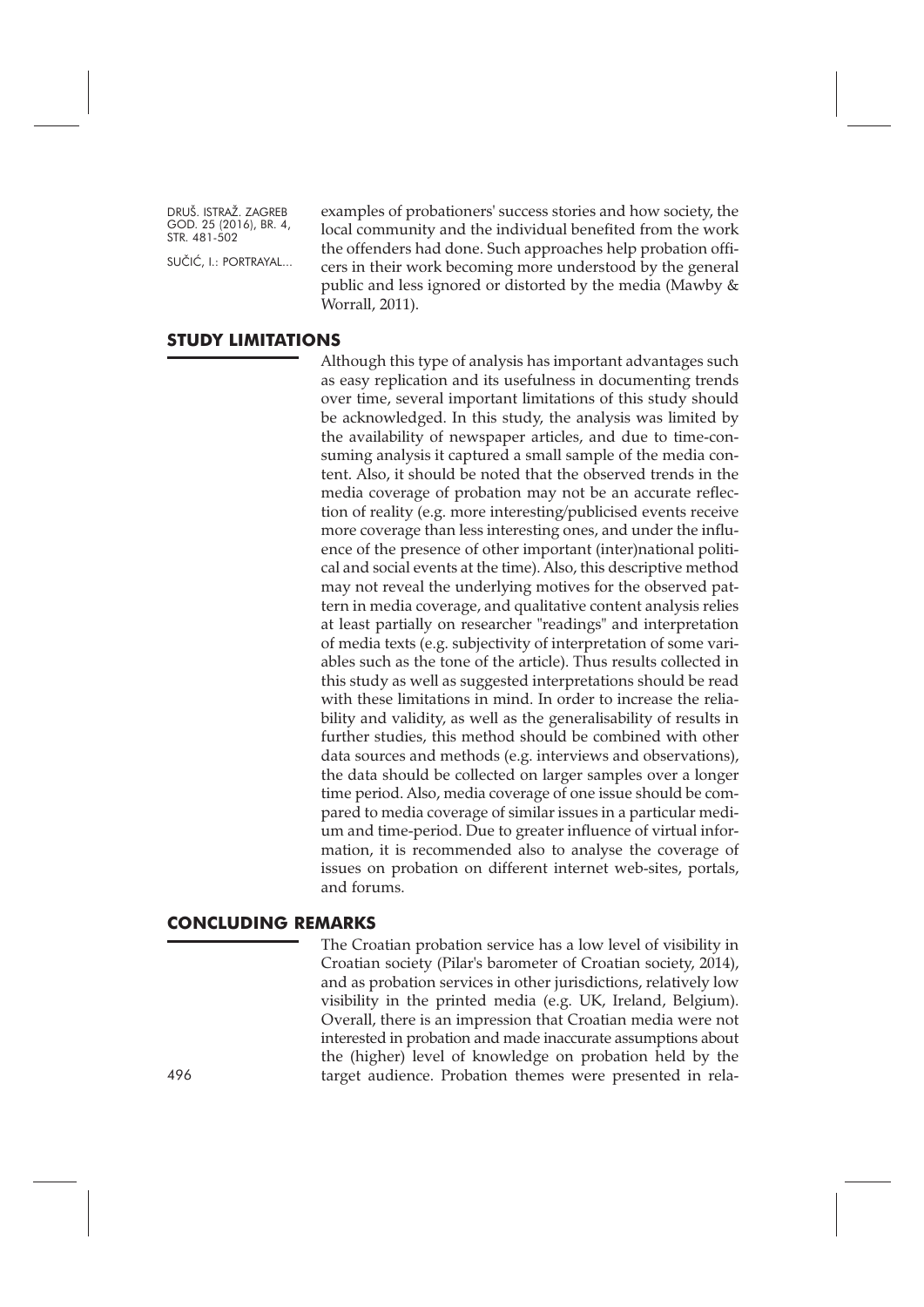SUČIĆ, I.: PORTRAYAL...

examples of probationers' success stories and how society, the local community and the individual benefited from the work the offenders had done. Such approaches help probation officers in their work becoming more understood by the general public and less ignored or distorted by the media (Mawby & Worrall, 2011).

#### **STUDY LIMITATIONS**

Although this type of analysis has important advantages such as easy replication and its usefulness in documenting trends over time, several important limitations of this study should be acknowledged. In this study, the analysis was limited by the availability of newspaper articles, and due to time-consuming analysis it captured a small sample of the media content. Also, it should be noted that the observed trends in the media coverage of probation may not be an accurate reflection of reality (e.g. more interesting/publicised events receive more coverage than less interesting ones, and under the influence of the presence of other important (inter)national political and social events at the time). Also, this descriptive method may not reveal the underlying motives for the observed pattern in media coverage, and qualitative content analysis relies at least partially on researcher "readings" and interpretation of media texts (e.g. subjectivity of interpretation of some variables such as the tone of the article). Thus results collected in this study as well as suggested interpretations should be read with these limitations in mind. In order to increase the reliability and validity, as well as the generalisability of results in further studies, this method should be combined with other data sources and methods (e.g. interviews and observations), the data should be collected on larger samples over a longer time period. Also, media coverage of one issue should be compared to media coverage of similar issues in a particular medium and time-period. Due to greater influence of virtual information, it is recommended also to analyse the coverage of issues on probation on different internet web-sites, portals, and forums.

#### **CONCLUDING REMARKS**

The Croatian probation service has a low level of visibility in Croatian society (Pilar's barometer of Croatian society, 2014), and as probation services in other jurisdictions, relatively low visibility in the printed media (e.g. UK, Ireland, Belgium). Overall, there is an impression that Croatian media were not interested in probation and made inaccurate assumptions about the (higher) level of knowledge on probation held by the target audience. Probation themes were presented in rela-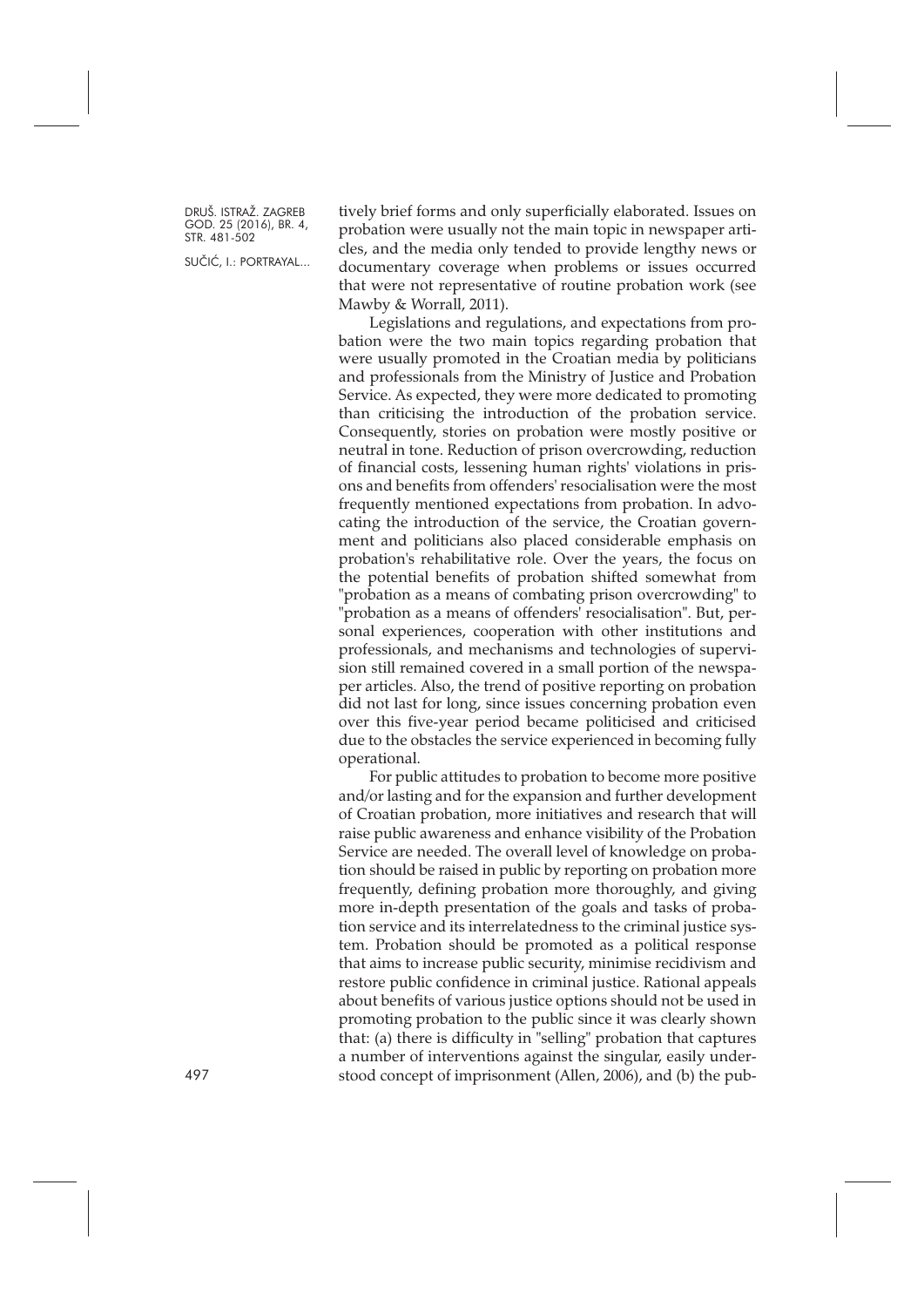SUČIĆ, I.: PORTRAYAL...

tively brief forms and only superficially elaborated. Issues on probation were usually not the main topic in newspaper articles, and the media only tended to provide lengthy news or documentary coverage when problems or issues occurred that were not representative of routine probation work (see Mawby & Worrall, 2011).

Legislations and regulations, and expectations from probation were the two main topics regarding probation that were usually promoted in the Croatian media by politicians and professionals from the Ministry of Justice and Probation Service. As expected, they were more dedicated to promoting than criticising the introduction of the probation service. Consequently, stories on probation were mostly positive or neutral in tone. Reduction of prison overcrowding, reduction of financial costs, lessening human rights' violations in prisons and benefits from offenders' resocialisation were the most frequently mentioned expectations from probation. In advocating the introduction of the service, the Croatian government and politicians also placed considerable emphasis on probation's rehabilitative role. Over the years, the focus on the potential benefits of probation shifted somewhat from "probation as a means of combating prison overcrowding" to "probation as a means of offenders' resocialisation". But, personal experiences, cooperation with other institutions and professionals, and mechanisms and technologies of supervision still remained covered in a small portion of the newspaper articles. Also, the trend of positive reporting on probation did not last for long, since issues concerning probation even over this five-year period became politicised and criticised due to the obstacles the service experienced in becoming fully operational.

For public attitudes to probation to become more positive and/or lasting and for the expansion and further development of Croatian probation, more initiatives and research that will raise public awareness and enhance visibility of the Probation Service are needed. The overall level of knowledge on probation should be raised in public by reporting on probation more frequently, defining probation more thoroughly, and giving more in-depth presentation of the goals and tasks of probation service and its interrelatedness to the criminal justice system. Probation should be promoted as a political response that aims to increase public security, minimise recidivism and restore public confidence in criminal justice. Rational appeals about benefits of various justice options should not be used in promoting probation to the public since it was clearly shown that: (a) there is difficulty in "selling" probation that captures a number of interventions against the singular, easily under-497 stood concept of imprisonment (Allen, 2006), and (b) the pub-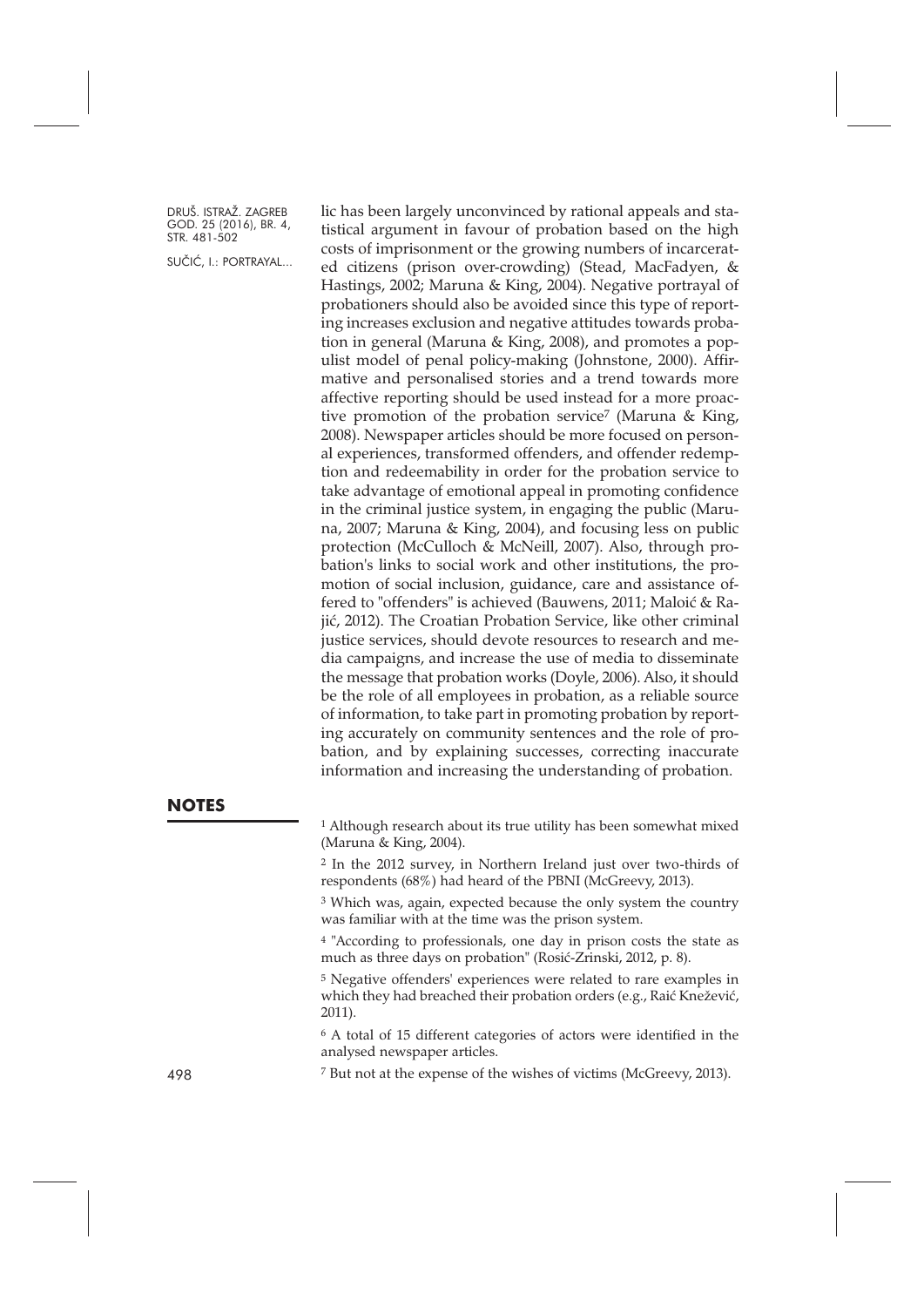SUČIĆ, I.: PORTRAYAL...

lic has been largely unconvinced by rational appeals and statistical argument in favour of probation based on the high costs of imprisonment or the growing numbers of incarcerated citizens (prison over-crowding) (Stead, MacFadyen, & Hastings, 2002; Maruna & King, 2004). Negative portrayal of probationers should also be avoided since this type of reporting increases exclusion and negative attitudes towards probation in general (Maruna & King, 2008), and promotes a populist model of penal policy-making (Johnstone, 2000). Affirmative and personalised stories and a trend towards more affective reporting should be used instead for a more proactive promotion of the probation service<sup>7</sup> (Maruna & King, 2008). Newspaper articles should be more focused on personal experiences, transformed offenders, and offender redemption and redeemability in order for the probation service to take advantage of emotional appeal in promoting confidence in the criminal justice system, in engaging the public (Maruna, 2007; Maruna & King, 2004), and focusing less on public protection (McCulloch & McNeill, 2007). Also, through probation's links to social work and other institutions, the promotion of social inclusion, guidance, care and assistance offered to "offenders" is achieved (Bauwens, 2011; Maloić & Rajić, 2012). The Croatian Probation Service, like other criminal justice services, should devote resources to research and media campaigns, and increase the use of media to disseminate the message that probation works (Doyle, 2006). Also, it should be the role of all employees in probation, as a reliable source of information, to take part in promoting probation by reporting accurately on community sentences and the role of probation, and by explaining successes, correcting inaccurate information and increasing the understanding of probation.

#### **NOTES**

<sup>1</sup> Although research about its true utility has been somewhat mixed (Maruna & King, 2004).

<sup>2</sup> In the 2012 survey, in Northern Ireland just over two-thirds of respondents (68%) had heard of the PBNI (McGreevy, 2013).

<sup>3</sup> Which was, again, expected because the only system the country was familiar with at the time was the prison system.

4 "According to professionals, one day in prison costs the state as much as three days on probation" (Rosić-Zrinski, 2012, p. 8).

5 Negative offenders' experiences were related to rare examples in which they had breached their probation orders (e.g., Raić Knežević, 2011).

6 A total of 15 different categories of actors were identified in the analysed newspaper articles.

7 But not at the expense of the wishes of victims (McGreevy, 2013).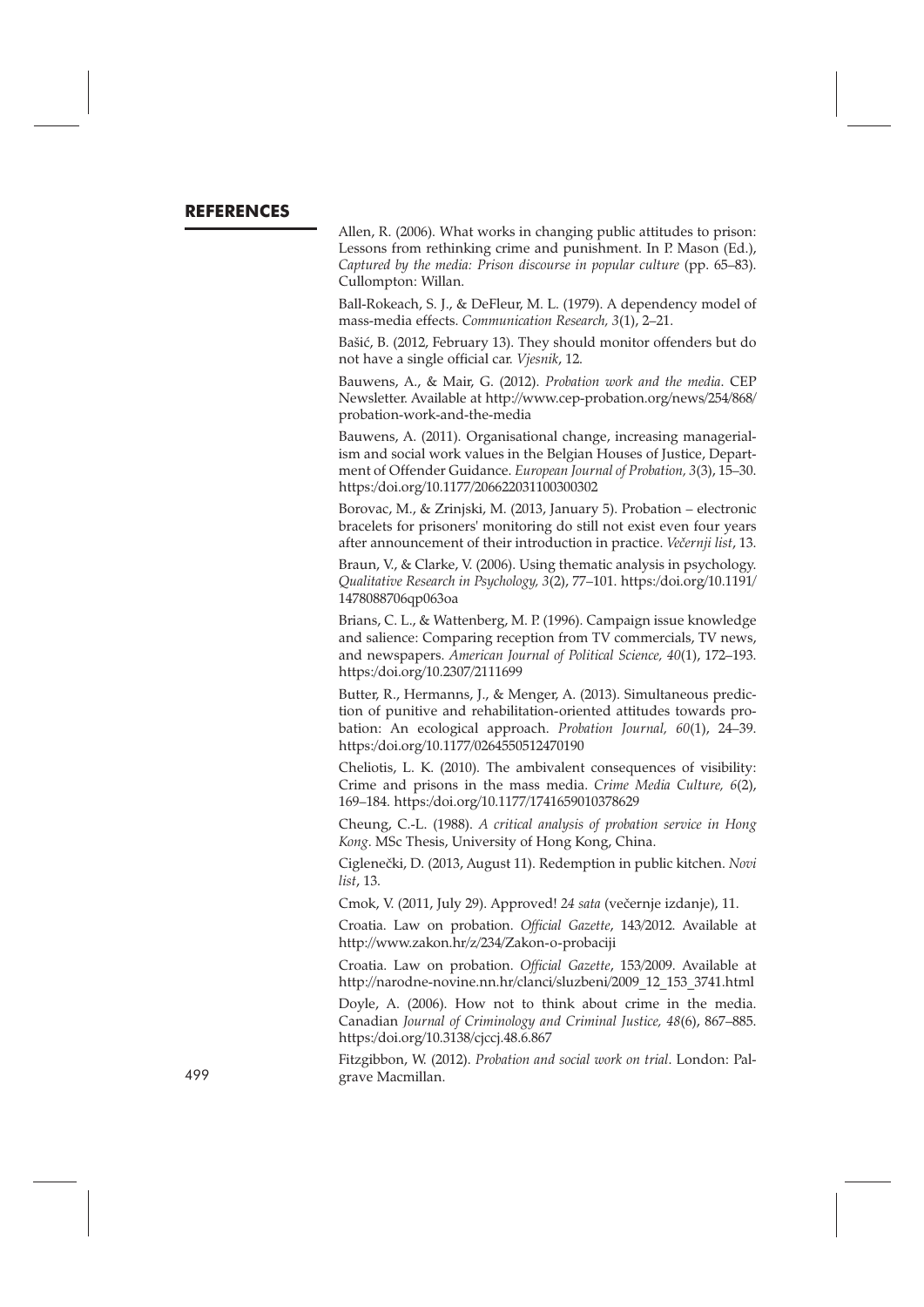# **REFERENCES**

Allen, R. (2006). What works in changing public attitudes to prison: Lessons from rethinking crime and punishment. In P. Mason (Ed.), *Captured by the media: Prison discourse in popular culture* (pp. 65–83). Cullompton: Willan.

Ball-Rokeach, S. J., & DeFleur, M. L. (1979). A dependency model of mass-media effects. *Communication Research, 3*(1), 2–21.

Bašić, B. (2012, February 13). They should monitor offenders but do not have a single official car. *Vjesnik*, 12.

Bauwens, A., & Mair, G. (2012). *Probation work and the media*. CEP Newsletter. Available at [http://www.cep-probation.org/news/254/868/](http://www.cep-probation.org/news/254/868/probation-work-and-the-media) [probation-work-and-the-media](http://www.cep-probation.org/news/254/868/probation-work-and-the-media)

Bauwens, A. (2011). Organisational change, increasing managerialism and social work values in the Belgian Houses of Justice, Department of Offender Guidance. *European Journal of Probation, 3*(3), 15–30. <https:/doi.org/10.1177/206622031100300302>

Borovac, M., & Zrinjski, M. (2013, January 5). Probation – electronic bracelets for prisoners' monitoring do still not exist even four years after announcement of their introduction in practice. *Večernji list*, 13.

Braun, V., & Clarke, V. (2006). Using thematic analysis in psychology. *Qualitative Research in Psychology, 3*(2), 77–101. [https:/doi.org/10.1191/](https:/doi.org/10.1191/1478088706qp063oa) [1478088706qp063oa](https:/doi.org/10.1191/1478088706qp063oa)

Brians, C. L., & Wattenberg, M. P. (1996). Campaign issue knowledge and salience: Comparing reception from TV commercials, TV news, and newspapers. *American Journal of Political Science, 40*(1), 172–193. <https:/doi.org/10.2307/2111699>

Butter, R., Hermanns, J., & Menger, A. (2013). Simultaneous prediction of punitive and rehabilitation-oriented attitudes towards probation: An ecological approach. *Probation Journal, 60*(1), 24–39. <https:/doi.org/10.1177/0264550512470190>

Cheliotis, L. K. (2010). The ambivalent consequences of visibility: Crime and prisons in the mass media. *Crime Media Culture, 6*(2), 169–184. <https:/doi.org/10.1177/1741659010378629>

Cheung, C.-L. (1988). *A critical analysis of probation service in Hong Kong*. MSc Thesis, University of Hong Kong, China.

Ciglenečki, D. (2013, August 11). Redemption in public kitchen. *Novi list*, 13.

Cmok, V. (2011, July 29). Approved! *24 sata* (večernje izdanje), 11.

Croatia. Law on probation. *Official Gazette*, 143/2012. Available at <http://www.zakon.hr/z/234/Zakon-o-probaciji>

Croatia. Law on probation. *Official Gazette*, 153/2009. Available at [http://narodne-novine.nn.hr/clanci/sluzbeni/2009\\_12\\_153\\_3741.html](http://narodne-novine.nn.hr/clanci/sluzbeni/2009_12_153_3741.html)

Doyle, A. (2006). How not to think about crime in the media. Canadian *Journal of Criminology and Criminal Justice, 48*(6), 867–885. <https:/doi.org/10.3138/cjccj.48.6.867>

Fitzgibbon, W. (2012). *Probation and social work on trial*. London: Pal-499 grave Macmillan.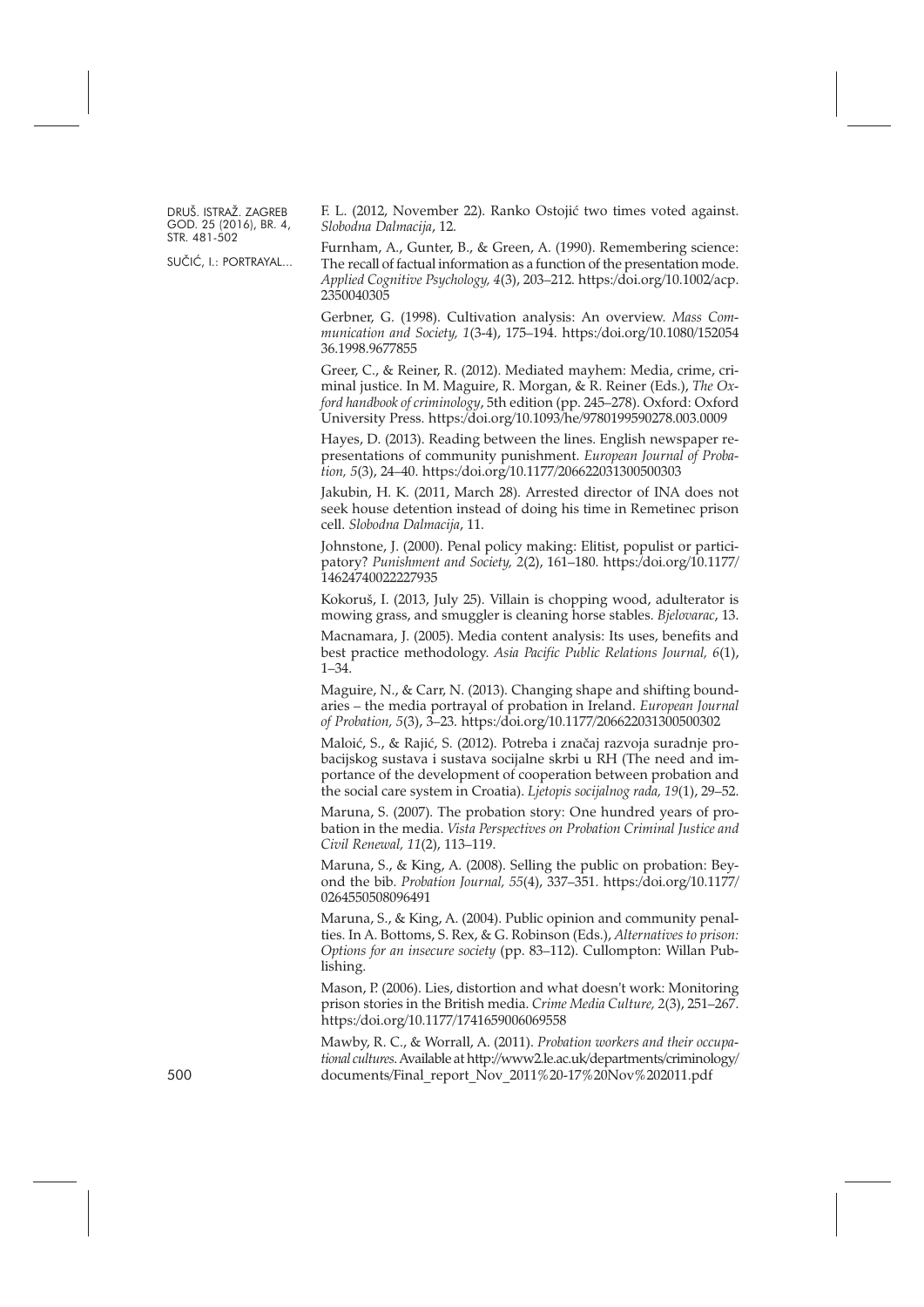SUČIĆ, I.: PORTRAYAL...

F. L. (2012, November 22). Ranko Ostojić two times voted against. *Slobodna Dalmacija*, 12.

Furnham, A., Gunter, B., & Green, A. (1990). Remembering science: The recall of factual information as a function of the presentation mode. *Applied Cognitive Psychology, 4*(3), 203–212. [https:/doi.org/10.1002/acp.](https:/doi.org/10.1002/acp.2350040305) [2350040305](https:/doi.org/10.1002/acp.2350040305)

Gerbner, G. (1998). Cultivation analysis: An overview. *Mass Communication and Society, 1*(3-4), 175–194. [https:/doi.org/10.1080/152054](https:/doi.org/10.1080/15205436.1998.9677855) [36.1998.9677855](https:/doi.org/10.1080/15205436.1998.9677855)

Greer, C., & Reiner, R. (2012). Mediated mayhem: Media, crime, criminal justice. In M. Maguire, R. Morgan, & R. Reiner (Eds.), *The Oxford handbook of criminology*, 5th edition (pp. 245–278). Oxford: Oxford University Press. <https:/doi.org/10.1093/he/9780199590278.003.0009>

Hayes, D. (2013). Reading between the lines. English newspaper representations of community punishment. *European Journal of Probation, 5*(3), 24–40. <https:/doi.org/10.1177/206622031300500303>

Jakubin, H. K. (2011, March 28). Arrested director of INA does not seek house detention instead of doing his time in Remetinec prison cell. *Slobodna Dalmacija*, 11.

Johnstone, J. (2000). Penal policy making: Elitist, populist or participatory? *Punishment and Society, 2*(2), 161–180. [https:/doi.org/10.1177/](https:/doi.org/10.1177/14624740022227935) [14624740022227935](https:/doi.org/10.1177/14624740022227935)

Kokoruš, I. (2013, July 25). Villain is chopping wood, adulterator is mowing grass, and smuggler is cleaning horse stables. *Bjelovarac*, 13.

Macnamara, J. (2005). Media content analysis: Its uses, benefits and best practice methodology. *Asia Pacific Public Relations Journal, 6*(1), 1–34.

Maguire, N., & Carr, N. (2013). Changing shape and shifting boundaries – the media portrayal of probation in Ireland. *European Journal of Probation, 5*(3), 3–23. <https:/doi.org/10.1177/206622031300500302>

Maloić, S., & Rajić, S. (2012). Potreba i značaj razvoja suradnje probacijskog sustava i sustava socijalne skrbi u RH (The need and importance of the development of cooperation between probation and the social care system in Croatia). *Ljetopis socijalnog rada, 19*(1), 29–52.

Maruna, S. (2007). The probation story: One hundred years of probation in the media. *Vista Perspectives on Probation Criminal Justice and Civil Renewal, 11*(2), 113–119.

Maruna, S., & King, A. (2008). Selling the public on probation: Beyond the bib. *Probation Journal, 55*(4), 337–351. [https:/doi.org/10.1177/](https:/doi.org/10.1177/0264550508096491) [0264550508096491](https:/doi.org/10.1177/0264550508096491)

Maruna, S., & King, A. (2004). Public opinion and community penalties. In A. Bottoms, S. Rex, & G. Robinson (Eds.), *Alternatives to prison: Options for an insecure society* (pp. 83–112). Cullompton: Willan Publishing.

Mason, P. (2006). Lies, distortion and what doesn't work: Monitoring prison stories in the British media. *Crime Media Culture, 2*(3), 251–267. <https:/doi.org/10.1177/1741659006069558>

Mawby, R. C., & Worrall, A. (2011). *Probation workers and their occupationalcultures*.Available at[http://www2.le.ac.uk/departments/criminology/](http://www2.le.ac.uk/departments/criminology/documents/Final_report_Nov_2011%20-17%20Nov%202011.pdf) [documents/Final\\_report\\_Nov\\_2011%20-17%20Nov%202011.pdf](http://www2.le.ac.uk/departments/criminology/documents/Final_report_Nov_2011%20-17%20Nov%202011.pdf)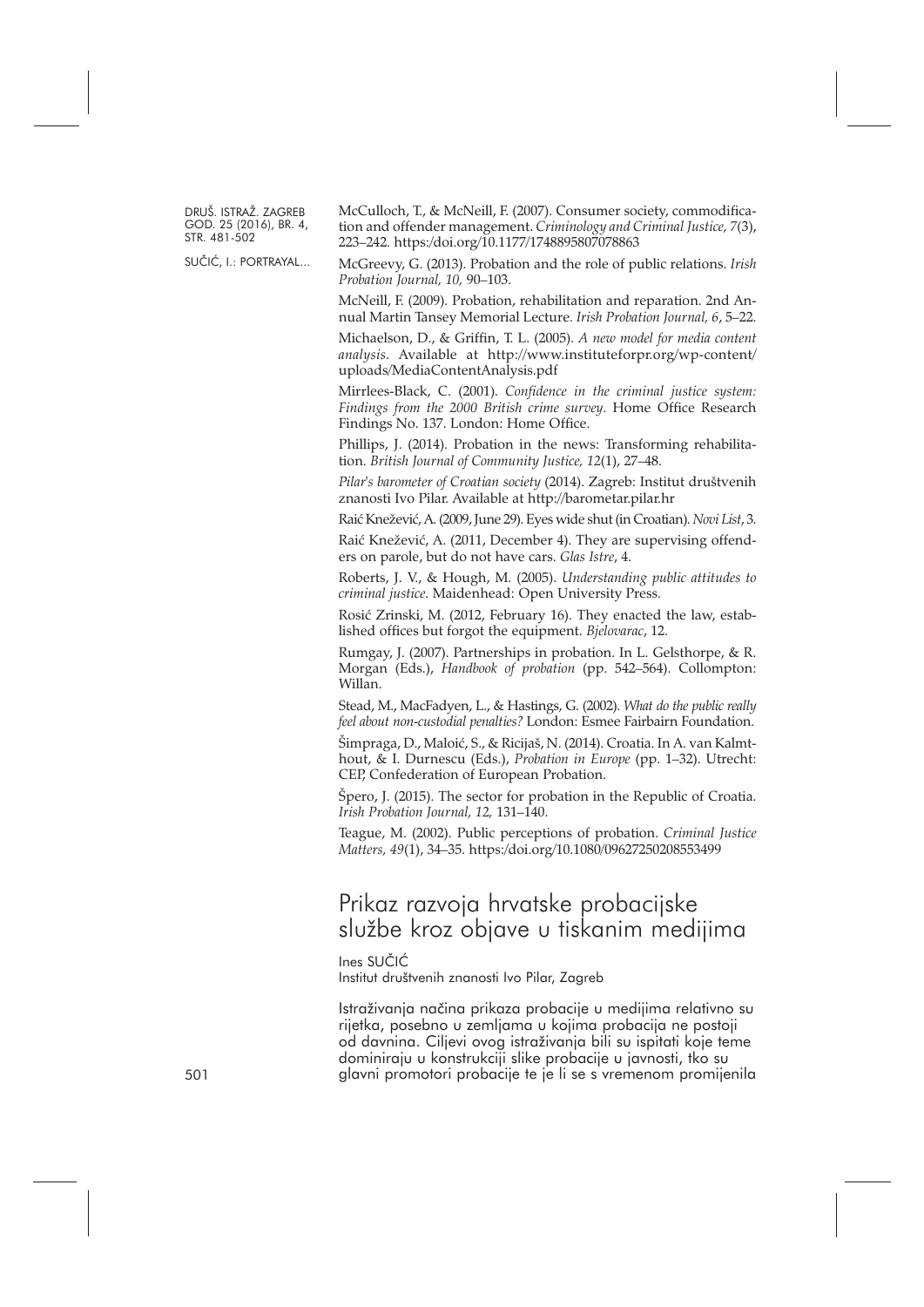SUČIĆ, I.: PORTRAYAL...

McCulloch, T., & McNeill, F. (2007). Consumer society, commodification and offender management. *Criminology and Criminal Justice, 7*(3), 223–242. <https:/doi.org/10.1177/1748895807078863>

McGreevy, G. (2013). Probation and the role of public relations. *Irish Probation Journal, 10,* 90–103.

McNeill, F. (2009). Probation, rehabilitation and reparation. 2nd Annual Martin Tansey Memorial Lecture. *Irish Probation Journal, 6*, 5–22.

Michaelson, D., & Griffin, T. L. (2005). *A new model for media content analysis*. Available at [http://www.instituteforpr.org/wp-content/](http://www.instituteforpr.org/wp-content/uploads/MediaContentAnalysis.pdf) [uploads/MediaContentAnalysis.pdf](http://www.instituteforpr.org/wp-content/uploads/MediaContentAnalysis.pdf)

Mirrlees-Black, C. (2001). *Confidence in the criminal justice system: Findings from the 2000 British crime survey*. Home Office Research Findings No. 137. London: Home Office.

Phillips, J. (2014). Probation in the news: Transforming rehabilitation. *British Journal of Community Justice, 12*(1), 27–48.

*Pilar's barometer of Croatian society* (2014). Zagreb: Institut društvenih znanosti Ivo Pilar. Available at <http://barometar.pilar.hr>

RaićKnežević,A. (2009, June 29). Eyes wide shut (in Croatian). *Novi List*, 3.

Raić Knežević, A. (2011, December 4). They are supervising offenders on parole, but do not have cars. *Glas Istre*, 4.

Roberts, J. V., & Hough, M. (2005). *Understanding public attitudes to criminal justice*. Maidenhead: Open University Press.

Rosić Zrinski, M. (2012, February 16). They enacted the law, established offices but forgot the equipment. *Bjelovarac*, 12.

Rumgay, J. (2007). Partnerships in probation. In L. Gelsthorpe, & R. Morgan (Eds.), *Handbook of probation* (pp. 542–564). Collompton: Willan.

Stead, M., MacFadyen, L., & Hastings, G. (2002). *What do the public really feel about non-custodial penalties?* London: Esmee Fairbairn Foundation.

Šimpraga, D., Maloić, S., & Ricijaš, N. (2014). Croatia. In A. van Kalmthout, & I. Durnescu (Eds.), *Probation in Europe* (pp. 1–32). Utrecht: CEP, Confederation of European Probation.

Špero, J. (2015). The sector for probation in the Republic of Croatia. *Irish Probation Journal, 12,* 131–140.

Teague, M. (2002). Public perceptions of probation. *Criminal Justice Matters, 49*(1), 34–35. <https:/doi.org/10.1080/09627250208553499>

# Prikaz razvoja hrvatske probacijske službe kroz objave u tiskanim medijima

Ines SUČIĆ

Institut društvenih znanosti Ivo Pilar, Zagreb

Istraživanja načina prikaza probacije u medijima relativno su rijetka, posebno u zemljama u kojima probacija ne postoji od davnina. Ciljevi ovog istraživanja bili su ispitati koje teme dominiraju u konstrukciji slike probacije u javnosti, tko su 501 glavni promotori probacije te je li se s vremenom promijenila